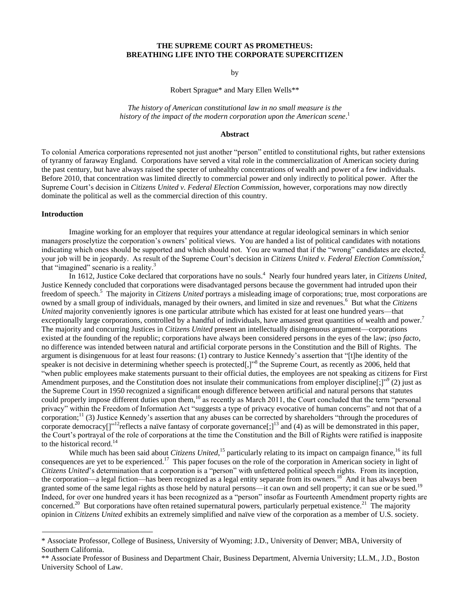# **THE SUPREME COURT AS PROMETHEUS: BREATHING LIFE INTO THE CORPORATE SUPERCITIZEN**

### <span id="page-0-1"></span>by

Robert Sprague\* and Mary Ellen Wells\*\*

*The history of American constitutional law in no small measure is the history of the impact of the modern corporation upon the American scene*. 1

### <span id="page-0-4"></span><span id="page-0-2"></span>**Abstract**

To colonial America corporations represented not just another "person" entitled to constitutional rights, but rather extensions of tyranny of faraway England. Corporations have served a vital role in the commercialization of American society during the past century, but have always raised the specter of unhealthy concentrations of wealth and power of a few individuals. Before 2010, that concentration was limited directly to commercial power and only indirectly to political power. After the Supreme Court"s decision in *Citizens United v. Federal Election Commission*, however, corporations may now directly dominate the political as well as the commercial direction of this country.

#### **Introduction**

Imagine working for an employer that requires your attendance at regular ideological seminars in which senior managers proselytize the corporation"s owners" political views. You are handed a list of political candidates with notations indicating which ones should be supported and which should not. You are warned that if the "wrong" candidates are elected, your job will be in jeopardy. As result of the Supreme Court's decision in *Citizens United v. Federal Election Commission*,<sup>2</sup> that "imagined" scenario is a reality.<sup>3</sup>

<span id="page-0-3"></span>In 1612, Justice Coke declared that corporations have no souls.<sup>4</sup> Nearly four hundred years later, in *Citizens United*, Justice Kennedy concluded that corporations were disadvantaged persons because the government had intruded upon their freedom of speech.<sup>5</sup> The majority in *Citizens United* portrays a misleading image of corporations; true, most corporations are owned by a small group of individuals, managed by their owners, and limited in size and revenues.<sup>6</sup> But what the *Citizens United* majority conveniently ignores is one particular attribute which has existed for at least one hundred years—that exceptionally large corporations, controlled by a handful of individuals, have amassed great quantities of wealth and power.<sup>7</sup> The majority and concurring Justices in *Citizens United* present an intellectually disingenuous argument—corporations existed at the founding of the republic; corporations have always been considered persons in the eyes of the law; *ipso facto*, no difference was intended between natural and artificial corporate persons in the Constitution and the Bill of Rights. The argument is disingenuous for at least four reasons: (1) contrary to Justice Kennedy"s assertion that "[t]he identity of the speaker is not decisive in determining whether speech is protected[,]"<sup>8</sup> the Supreme Court, as recently as 2006, held that "when public employees make statements pursuant to their official duties, the employees are not speaking as citizens for First Amendment purposes, and the Constitution does not insulate their communications from employer discipline[;]"<sup>9</sup> (2) just as the Supreme Court in 1950 recognized a significant enough difference between artificial and natural persons that statutes could properly impose different duties upon them,<sup>10</sup> as recently as March 2011, the Court concluded that the term "personal privacy" within the Freedom of Information Act "suggests a type of privacy evocative of human concerns" and not that of a corporation; $\frac{11}{3}$  Justice Kennedy's assertion that any abuses can be corrected by shareholders "through the procedures of corporate democracy<sup>[]"12</sup>reflects a naïve fantasy of corporate governance[;]<sup>13</sup> and (4) as will be demonstrated in this paper, the Court"s portrayal of the role of corporations at the time the Constitution and the Bill of Rights were ratified is inapposite to the historical record.<sup>14</sup>

<span id="page-0-0"></span>While much has been said about *Citizens United*,<sup>15</sup> particularly relating to its impact on campaign finance,<sup>16</sup> its full consequences are yet to be experienced.<sup>17</sup> This paper focuses on the role of the corporation in American society in light of *Citizens United*"s determination that a corporation is a "person" with unfettered political speech rights. From its inception, the corporation—a legal fiction—has been recognized as a legal entity separate from its owners.<sup>18</sup> And it has always been granted some of the same legal rights as those held by natural persons—it can own and sell property; it can sue or be sued.<sup>19</sup> Indeed, for over one hundred years it has been recognized as a "person" insofar as Fourteenth Amendment property rights are concerned.<sup>20</sup> But corporations have often retained supernatural powers, particularly perpetual existence.<sup>21</sup> The majority opinion in *Citizens United* exhibits an extremely simplified and naïve view of the corporation as a member of U.S. society.

<sup>\*</sup> Associate Professor, College of Business, University of Wyoming; J.D., University of Denver; MBA, University of Southern California.

<sup>\*\*</sup> Associate Professor of Business and Department Chair, Business Department, Alvernia University; LL.M., J.D., Boston University School of Law.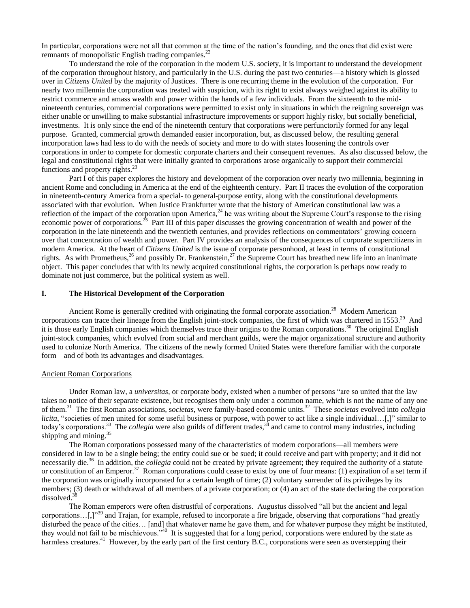In particular, corporations were not all that common at the time of the nation"s founding, and the ones that did exist were remnants of monopolistic English trading companies.<sup>22</sup>

To understand the role of the corporation in the modern U.S. society, it is important to understand the development of the corporation throughout history, and particularly in the U.S. during the past two centuries—a history which is glossed over in *Citizens United* by the majority of Justices. There is one recurring theme in the evolution of the corporation. For nearly two millennia the corporation was treated with suspicion, with its right to exist always weighed against its ability to restrict commerce and amass wealth and power within the hands of a few individuals. From the sixteenth to the midnineteenth centuries, commercial corporations were permitted to exist only in situations in which the reigning sovereign was either unable or unwilling to make substantial infrastructure improvements or support highly risky, but socially beneficial, investments. It is only since the end of the nineteenth century that corporations were perfunctorily formed for any legal purpose. Granted, commercial growth demanded easier incorporation, but, as discussed below, the resulting general incorporation laws had less to do with the needs of society and more to do with states loosening the controls over corporations in order to compete for domestic corporate charters and their consequent revenues. As also discussed below, the legal and constitutional rights that were initially granted to corporations arose organically to support their commercial functions and property rights.<sup>23</sup>

Part I of this paper explores the history and development of the corporation over nearly two millennia, beginning in ancient Rome and concluding in America at the end of the eighteenth century. Part II traces the evolution of the corporation in nineteenth-century America from a special- to general-purpose entity, along with the constitutional developments associated with that evolution. When Justice Frankfurter wrote that the history of American constitutional law was a reflection of the impact of the corporation upon America,<sup>24</sup> he was writing about the Supreme Court's response to the rising economic power of corporations.<sup>25</sup> Part III of this paper discusses the growing concentration of wealth and power of the corporation in the late nineteenth and the twentieth centuries, and provides reflections on commentators" growing concern over that concentration of wealth and power. Part IV provides an analysis of the consequences of corporate supercitizens in modern America. At the heart of *Citizens United* is the issue of corporate personhood, at least in terms of constitutional rights. As with Prometheus,<sup>26</sup> and possibly Dr. Frankenstein,<sup>27</sup> the Supreme Court has breathed new life into an inanimate object. This paper concludes that with its newly acquired constitutional rights, the corporation is perhaps now ready to dominate not just commerce, but the political system as well.

### **I. The Historical Development of the Corporation**

<span id="page-1-4"></span><span id="page-1-2"></span>Ancient Rome is generally credited with originating the formal corporate association.<sup>28</sup> Modern American corporations can trace their lineage from the English joint-stock companies, the first of which was chartered in 1553.<sup>29</sup> And it is those early English companies which themselves trace their origins to the Roman corporations.<sup>30</sup> The original English joint-stock companies, which evolved from social and merchant guilds, were the major organizational structure and authority used to colonize North America. The citizens of the newly formed United States were therefore familiar with the corporate form—and of both its advantages and disadvantages.

#### Ancient Roman Corporations

<span id="page-1-0"></span>Under Roman law, a *universitas*, or corporate body, existed when a number of persons "are so united that the law takes no notice of their separate existence, but recognises them only under a common name, which is not the name of any one of them. 31 The first Roman associations, s*ocietas*, were family-based economic units.<sup>32</sup> These *societas* evolved into *collegia licita*, "societies of men united for some useful business or purpose, with power to act like a single individual...[,]" similar to today's corporations.<sup>33</sup> The *collegia* were also guilds of different trades,<sup>34</sup> and came to control many industries, including shipping and mining.<sup>35</sup>

<span id="page-1-3"></span><span id="page-1-1"></span>The Roman corporations possessed many of the characteristics of modern corporations—all members were considered in law to be a single being; the entity could sue or be sued; it could receive and part with property; and it did not necessarily die.<sup>36</sup> In addition, the *collegia* could not be created by private agreement; they required the authority of a statute or constitution of an Emperor.<sup>37</sup> Roman corporations could cease to exist by one of four means: (1) expiration of a set term if the corporation was originally incorporated for a certain length of time; (2) voluntary surrender of its privileges by its members; (3) death or withdrawal of all members of a private corporation; or (4) an act of the state declaring the corporation dissolved.<sup>38</sup>

The Roman emperors were often distrustful of corporations. Augustus dissolved "all but the ancient and legal corporations...[,]"<sup>39</sup> and Trajan, for example, refused to incorporate a fire brigade, observing that corporations "had greatly disturbed the peace of the cities… [and] that whatever name he gave them, and for whatever purpose they might be instituted, they would not fail to be mischievous."<sup>40</sup> It is suggested that for a long period, corporations were endured by the state as harmless creatures.<sup>41</sup> However, by the early part of the first century B.C., corporations were seen as overstepping their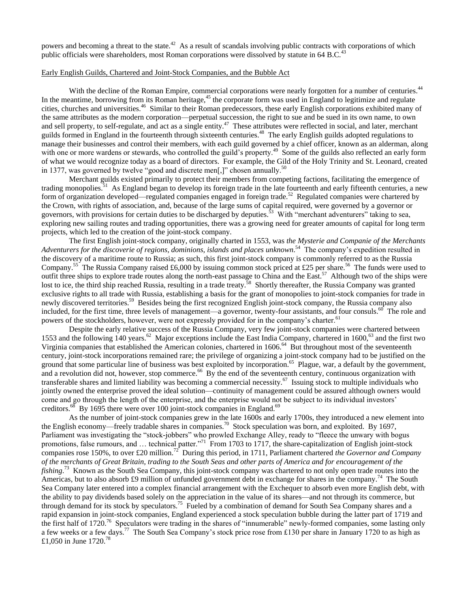powers and becoming a threat to the state.<sup>42</sup> As a result of scandals involving public contracts with corporations of which public officials were shareholders, most Roman corporations were dissolved by statute in 64 B.C.<sup>43</sup>

# Early English Guilds, Chartered and Joint-Stock Companies, and the Bubble Act

With the decline of the Roman Empire, commercial corporations were nearly forgotten for a number of centuries.<sup>44</sup> In the meantime, borrowing from its Roman heritage,<sup>45</sup> the corporate form was used in England to legitimize and regulate cities, churches and universities.<sup>46</sup> Similar to their Roman predecessors, these early English corporations exhibited many of the same attributes as the modern corporation—perpetual succession, the right to sue and be sued in its own name, to own and sell property, to self-regulate, and act as a single entity.<sup>47</sup> These attributes were reflected in social, and later, merchant guilds formed in England in the fourteenth through sixteenth centuries.<sup>48</sup> The early English guilds adopted regulations to manage their businesses and control their members, with each guild governed by a chief officer, known as an alderman, along with one or more wardens or stewards, who controlled the guild's property.<sup>49</sup> Some of the guilds also reflected an early form of what we would recognize today as a board of directors. For example, the Gild of the Holy Trinity and St. Leonard, created in 1377, was governed by twelve "good and discrete men[,]" chosen annually.<sup>50</sup>

Merchant guilds existed primarily to protect their members from competing factions, facilitating the emergence of trading monopolies.<sup>51</sup> As England began to develop its foreign trade in the late fourteenth and early fifteenth centuries, a new form of organization developed—regulated companies engaged in foreign trade.<sup>52</sup> Regulated companies were chartered by the Crown, with rights of association, and, because of the large sums of capital required, were governed by a governor or governors, with provisions for certain duties to be discharged by deputies.<sup>53</sup> With "merchant adventurers" taking to sea, exploring new sailing routes and trading opportunities, there was a growing need for greater amounts of capital for long term projects, which led to the creation of the joint-stock company.

<span id="page-2-0"></span>The first English joint-stock company, originally charted in 1553, was *the Mysterie and Companie of the Merchants*  Adventurers for the discoverie of regions, dominions, islands and places unknown.<sup>54</sup> The company's expedition resulted in the discovery of a maritime route to Russia; as such, this first joint-stock company is commonly referred to as the Russia Company.<sup>55</sup> The Russia Company raised £6,000 by issuing common stock priced at £25 per share.<sup>56</sup> The funds were used to outfit three ships to explore trade routes along the north-east passage to China and the East.<sup>57</sup> Although two of the ships were lost to ice, the third ship reached Russia, resulting in a trade treaty.<sup>58</sup> Shortly thereafter, the Russia Company was granted exclusive rights to all trade with Russia, establishing a basis for the grant of monopolies to joint-stock companies for trade in newly discovered territories.<sup>59</sup> Besides being the first recognized English joint-stock company, the Russia company also included, for the first time, three levels of management—a governor, twenty-four assistants, and four consuls.<sup>60</sup> The role and powers of the stockholders, however, were not expressly provided for in the company's charter.<sup>61</sup>

<span id="page-2-4"></span><span id="page-2-3"></span><span id="page-2-1"></span>Despite the early relative success of the Russia Company, very few joint-stock companies were chartered between 1553 and the following 140 years.<sup>62</sup> Major exceptions include the East India Company, chartered in 1600,<sup>63</sup> and the first two Virginia companies that established the American colonies, chartered in 1606.<sup>64</sup> But throughout most of the seventeenth century, joint-stock incorporations remained rare; the privilege of organizing a joint-stock company had to be justified on the ground that some particular line of business was best exploited by incorporation.<sup>65</sup> Plague, war, a default by the government, and a revolution did not, however, stop commerce.<sup>66</sup> By the end of the seventeenth century, continuous organization with transferable shares and limited liability was becoming a commercial necessity.<sup>67</sup> Issuing stock to multiple individuals who jointly owned the enterprise proved the ideal solution—continuity of management could be assured although owners would come and go through the length of the enterprise, and the enterprise would not be subject to its individual investors' creditors.<sup>68</sup> By 1695 there were over 100 joint-stock companies in England.<sup>69</sup>

<span id="page-2-6"></span><span id="page-2-5"></span><span id="page-2-2"></span>As the number of joint-stock companies grew in the late 1600s and early 1700s, they introduced a new element into the English economy—freely tradable shares in companies.<sup>70</sup> Stock speculation was born, and exploited. By 1697, Parliament was investigating the "stock-jobbers" who prowled Exchange Alley, ready to "fleece the unwary with bogus promotions, false rumours, and ... technical patter."<sup>71</sup> From 1703 to 1717, the share-capitalization of English joint-stock companies rose 150%, to over £20 million.<sup>72</sup> During this period, in 1711, Parliament chartered *the Governor and Company of the merchants of Great Britain, trading to the South Seas and other parts of America and for encouragement of the*  fishing.<sup>73</sup> Known as the South Sea Company, this joint-stock company was chartered to not only open trade routes into the Americas, but to also absorb £9 million of unfunded government debt in exchange for shares in the company.<sup>74</sup> The South Sea Company later entered into a complex financial arrangement with the Exchequer to absorb even more English debt, with the ability to pay dividends based solely on the appreciation in the value of its shares—and not through its commerce, but through demand for its stock by speculators.<sup>75</sup> Fueled by a combination of demand for South Sea Company shares and a rapid expansion in joint-stock companies, England experienced a stock speculation bubble during the latter part of 1719 and the first half of 1720.<sup>76</sup> Speculators were trading in the shares of "innumerable" newly-formed companies, some lasting only a few weeks or a few days.<sup>77</sup> The South Sea Company's stock price rose from £130 per share in January 1720 to as high as £1,050 in June 1720.<sup>78</sup>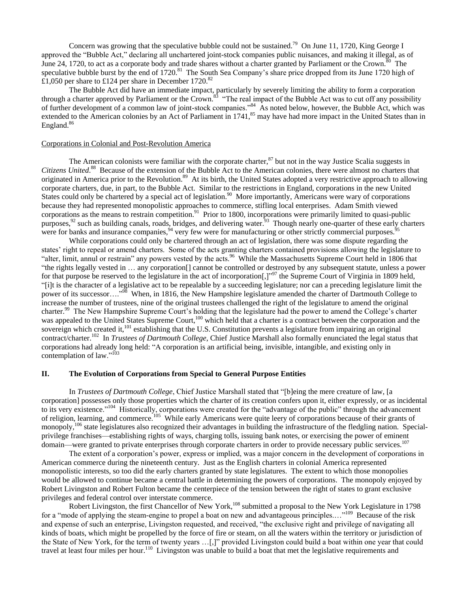<span id="page-3-3"></span><span id="page-3-2"></span>Concern was growing that the speculative bubble could not be sustained.<sup>79</sup> On June 11, 1720, King George I approved the "Bubble Act," declaring all unchartered joint-stock companies public nuisances, and making it illegal, as of June 24, 1720, to act as a corporate body and trade shares without a charter granted by Parliament or the Crown.<sup>80</sup> The speculative bubble burst by the end of 1720.<sup>81</sup> The South Sea Company's share price dropped from its June 1720 high of £1,050 per share to £124 per share in December 1720.<sup>82</sup>

<span id="page-3-4"></span>The Bubble Act did have an immediate impact, particularly by severely limiting the ability to form a corporation through a charter approved by Parliament or the Crown.<sup>83</sup> "The real impact of the Bubble Act was to cut off any possibility of further development of a common law of joint-stock companies."<sup>84</sup> As noted below, however, the Bubble Act, which was extended to the American colonies by an Act of Parliament in 1741,<sup>85</sup> may have had more impact in the United States than in England.<sup>86</sup>

## Corporations in Colonial and Post-Revolution America

<span id="page-3-5"></span><span id="page-3-1"></span><span id="page-3-0"></span>The American colonists were familiar with the corporate charter,  $87$  but not in the way Justice Scalia suggests in Citizens United.<sup>88</sup> Because of the extension of the Bubble Act to the American colonies, there were almost no charters that originated in America prior to the Revolution.<sup>89</sup> At its birth, the United States adopted a very restrictive approach to allowing corporate charters, due, in part, to the Bubble Act. Similar to the restrictions in England, corporations in the new United States could only be chartered by a special act of legislation.<sup>90</sup> More importantly, Americans were wary of corporations because they had represented monopolistic approaches to commerce, stifling local enterprises. Adam Smith viewed corporations as the means to restrain competition.<sup>91</sup> Prior to 1800, incorporations were primarily limited to quasi-public purposes,  $92$  such as building canals, roads, bridges, and delivering water.  $93$  Though nearly one-quarter of these early charters were for banks and insurance companies,<sup>94</sup> very few were for manufacturing or other strictly commercial purposes.<sup>95</sup>

<span id="page-3-6"></span>While corporations could only be chartered through an act of legislation, there was some dispute regarding the states' right to repeal or amend charters. Some of the acts granting charters contained provisions allowing the legislature to "alter, limit, annul or restrain" any powers vested by the acts.<sup>96</sup> While the Massachusetts Supreme Court held in 1806 that "the rights legally vested in … any corporation[] cannot be controlled or destroyed by any subsequent statute, unless a power for that purpose be reserved to the legislature in the act of incorporation[,]"<sup>97</sup> the Supreme Court of Virginia in 1809 held, "[i]t is the character of a legislative act to be repealable by a succeeding legislature; nor can a preceding legislature limit the power of its successor…."<sup>98</sup> When, in 1816, the New Hampshire legislature amended the charter of Dartmouth College to increase the number of trustees, nine of the original trustees challenged the right of the legislature to amend the original charter.<sup>99</sup> The New Hampshire Supreme Court's holding that the legislature had the power to amend the College's charter was appealed to the United States Supreme Court,<sup>100</sup> which held that a charter is a contract between the corporation and the sovereign which created it,<sup>101</sup> establishing that the U.S. Constitution prevents a legislature from impairing an original contract/charter.<sup>102</sup> In *Trustees of Dartmouth College*, Chief Justice Marshall also formally enunciated the legal status that corporations had already long held: "A corporation is an artificial being, invisible, intangible, and existing only in contemplation of law."<sup>103</sup>

### **II. The Evolution of Corporations from Special to General Purpose Entities**

In *Trustees of Dartmouth College*, Chief Justice Marshall stated that "[b]eing the mere creature of law, [a corporation] possesses only those properties which the charter of its creation confers upon it, either expressly, or as incidental to its very existence."<sup>104</sup> Historically, corporations were created for the "advantage of the public" through the advancement of religion, learning, and commerce.<sup>105</sup> While early Americans were quite leery of corporations because of their grants of monopoly,<sup>106</sup> state legislatures also recognized their advantages in building the infrastructure of the fledgling nation. Specialprivilege franchises—establishing rights of ways, charging tolls, issuing bank notes, or exercising the power of eminent domain—were granted to private enterprises through corporate charters in order to provide necessary public services.<sup>107</sup>

The extent of a corporation"s power, express or implied, was a major concern in the development of corporations in American commerce during the nineteenth century. Just as the English charters in colonial America represented monopolistic interests, so too did the early charters granted by state legislatures. The extent to which those monopolies would be allowed to continue became a central battle in determining the powers of corporations. The monopoly enjoyed by Robert Livingston and Robert Fulton became the centerpiece of the tension between the right of states to grant exclusive privileges and federal control over interstate commerce.

Robert Livingston, the first Chancellor of New York,<sup>108</sup> submitted a proposal to the New York Legislature in 1798 for a "mode of applying the steam-engine to propel a boat on new and advantageous principles...."<sup>109</sup> Because of the risk and expense of such an enterprise, Livingston requested, and received, "the exclusive right and privilege of navigating all kinds of boats, which might be propelled by the force of fire or steam, on all the waters within the territory or jurisdiction of the State of New York, for the term of twenty years …[,]" provided Livingston could build a boat within one year that could travel at least four miles per hour.<sup>110</sup> Livingston was unable to build a boat that met the legislative requirements and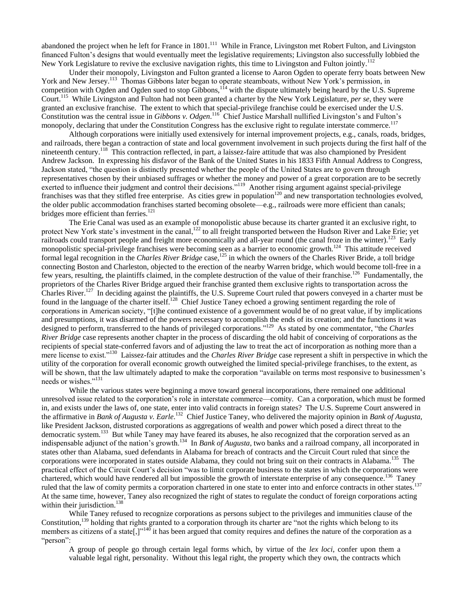abandoned the project when he left for France in 1801.<sup>111</sup> While in France, Livingston met Robert Fulton, and Livingston financed Fulton"s designs that would eventually meet the legislative requirements; Livingston also successfully lobbied the New York Legislature to revive the exclusive navigation rights, this time to Livingston and Fulton jointly.<sup>112</sup>

<span id="page-4-5"></span>Under their monopoly, Livingston and Fulton granted a license to Aaron Ogden to operate ferry boats between New York and New Jersey.<sup>113</sup> Thomas Gibbons later began to operate steamboats, without New York's permission, in competition with Ogden and Ogden sued to stop Gibbons,<sup>114</sup> with the dispute ultimately being heard by the U.S. Supreme Court.<sup>115</sup> While Livingston and Fulton had not been granted a charter by the New York Legislature, *per se*, they were granted an exclusive franchise. The extent to which that special-privilege franchise could be exercised under the U.S. Constitution was the central issue in *Gibbons v. Odgen*.<sup>116</sup> Chief Justice Marshall nullified Livingston's and Fulton's monopoly, declaring that under the Constitution Congress has the exclusive right to regulate interstate commerce.<sup>117</sup>

<span id="page-4-3"></span>Although corporations were initially used extensively for internal improvement projects, e.g., canals, roads, bridges, and railroads, there began a contraction of state and local government involvement in such projects during the first half of the nineteenth century.<sup>118</sup> This contraction reflected, in part, a laissez-faire attitude that was also championed by President Andrew Jackson. In expressing his disfavor of the Bank of the United States in his 1833 Fifth Annual Address to Congress, Jackson stated, "the question is distinctly presented whether the people of the United States are to govern through representatives chosen by their unbiased suffrages or whether the money and power of a great corporation are to be secretly exerted to influence their judgment and control their decisions."<sup>119</sup> Another rising argument against special-privilege franchises was that they stifled free enterprise. As cities grew in population<sup>120</sup> and new transportation technologies evolved, the older public accommodation franchises started becoming obsolete—e.g., railroads were more efficient than canals; bridges more efficient than ferries.<sup>121</sup>

<span id="page-4-6"></span><span id="page-4-4"></span><span id="page-4-2"></span><span id="page-4-1"></span><span id="page-4-0"></span>The Erie Canal was used as an example of monopolistic abuse because its charter granted it an exclusive right, to protect New York state's investment in the canal,<sup>122</sup> to all freight transported between the Hudson River and Lake Erie; yet railroads could transport people and freight more economically and all-year round (the canal froze in the winter).<sup>123</sup> Early monopolistic special-privilege franchises were becoming seen as a barrier to economic growth.<sup>124</sup> This attitude received formal legal recognition in the *Charles River Bridge* case,<sup>125</sup> in which the owners of the Charles River Bride, a toll bridge connecting Boston and Charleston, objected to the erection of the nearby Warren bridge, which would become toll-free in a few years, resulting, the plaintiffs claimed, in the complete destruction of the value of their franchise.<sup>126</sup> Fundamentally, the proprietors of the Charles River Bridge argued their franchise granted them exclusive rights to transportation across the Charles River.<sup>127</sup> In deciding against the plaintiffs, the U.S. Supreme Court ruled that powers conveyed in a charter must be found in the language of the charter itself.<sup>128</sup> Chief Justice Taney echoed a growing sentiment regarding the role of corporations in American society, "[t]he continued existence of a government would be of no great value, if by implications and presumptions, it was disarmed of the powers necessary to accomplish the ends of its creation; and the functions it was designed to perform, transferred to the hands of privileged corporations."<sup>129</sup> As stated by one commentator, "the *Charles River Bridge* case represents another chapter in the process of discarding the old habit of conceiving of corporations as the recipients of special state-conferred favors and of adjusting the law to treat the act of incorporation as nothing more than a mere license to exist."<sup>130</sup> Laissez-fair attitudes and the *Charles River Bridge* case represent a shift in perspective in which the utility of the corporation for overall economic growth outweighed the limited special-privilege franchises, to the extent, as will be shown, that the law ultimately adapted to make the corporation "available on terms most responsive to businessmen's needs or wishes."<sup>131</sup>

While the various states were beginning a move toward general incorporations, there remained one additional unresolved issue related to the corporation"s role in interstate commerce—comity. Can a corporation, which must be formed in, and exists under the laws of, one state, enter into valid contracts in foreign states? The U.S. Supreme Court answered in the affirmative in *Bank of Augusta v. Earle*. 132 Chief Justice Taney, who delivered the majority opinion in *Bank of Augusta*, like President Jackson, distrusted corporations as aggregations of wealth and power which posed a direct threat to the democratic system.<sup>133</sup> But while Taney may have feared its abuses, he also recognized that the corporation served as an indispensable adjunct of the nation's growth.<sup>134</sup> In *Bank of Augusta*, two banks and a railroad company, all incorporated in states other than Alabama, sued defendants in Alabama for breach of contracts and the Circuit Court ruled that since the corporations were incorporated in states outside Alabama, they could not bring suit on their contracts in Alabama.<sup>135</sup> The practical effect of the Circuit Court"s decision "was to limit corporate business to the states in which the corporations were chartered, which would have rendered all but impossible the growth of interstate enterprise of any consequence.<sup>136</sup> Taney ruled that the law of comity permits a corporation chartered in one state to enter into and enforce contracts in other states. At the same time, however, Taney also recognized the right of states to regulate the conduct of foreign corporations acting within their jurisdiction. $138$ 

While Taney refused to recognize corporations as persons subject to the privileges and immunities clause of the Constitution,<sup>139</sup> holding that rights granted to a corporation through its charter are "not the rights which belong to its members as citizens of a state  $\binom{n+1}{0}$  it has been argued that comity requires and defines the nature of the corporation as a "person":

A group of people go through certain legal forms which, by virtue of the *lex loci*, confer upon them a valuable legal right, personality. Without this legal right, the property which they own, the contracts which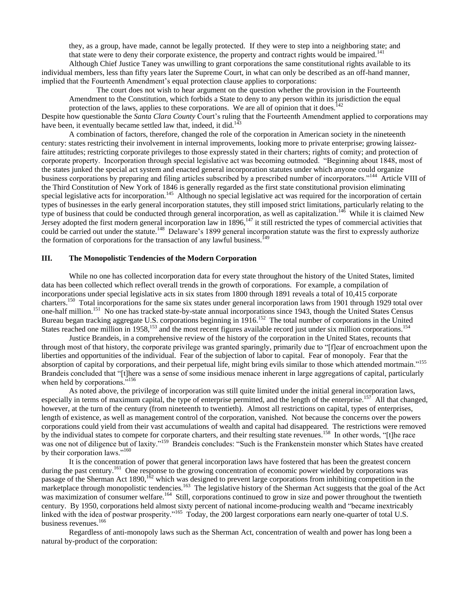<span id="page-5-4"></span>they, as a group, have made, cannot be legally protected. If they were to step into a neighboring state; and that state were to deny their corporate existence, the property and contract rights would be impaired.<sup>141</sup>

Although Chief Justice Taney was unwilling to grant corporations the same constitutional rights available to its individual members, less than fifty years later the Supreme Court, in what can only be described as an off-hand manner, implied that the Fourteenth Amendment"s equal protection clause applies to corporations:

<span id="page-5-2"></span><span id="page-5-1"></span>The court does not wish to hear argument on the question whether the provision in the Fourteenth Amendment to the Constitution, which forbids a State to deny to any person within its jurisdiction the equal protection of the laws, applies to these corporations. We are all of opinion that it does.<sup>142</sup>

Despite how questionable the *Santa Clara County* Court's ruling that the Fourteenth Amendment applied to corporations may have been, it eventually became settled law that, indeed, it did.<sup>143</sup>

A combination of factors, therefore, changed the role of the corporation in American society in the nineteenth century: states restricting their involvement in internal improvements, looking more to private enterprise; growing laissezfaire attitudes; restricting corporate privileges to those expressly stated in their charters; rights of comity; and protection of corporate property. Incorporation through special legislative act was becoming outmoded. "Beginning about 1848, most of the states junked the special act system and enacted general incorporation statutes under which anyone could organize business corporations by preparing and filing articles subscribed by a prescribed number of incorporators."<sup>144</sup> Article VIII of the Third Constitution of New York of 1846 is generally regarded as the first state constitutional provision eliminating special legislative acts for incorporation.<sup>145</sup> Although no special legislative act was required for the incorporation of certain types of businesses in the early general incorporation statutes, they still imposed strict limitations, particularly relating to the type of business that could be conducted through general incorporation, as well as capitalization.<sup>146</sup> While it is claimed New Jersey adopted the first modern general incorporation law in  $1896$ ,<sup>147</sup> it still restricted the types of commercial activities that could be carried out under the statute.<sup>148</sup> Delaware's 1899 general incorporation statute was the first to expressly authorize the formation of corporations for the transaction of any lawful business.<sup> $149$ </sup>

## **III. The Monopolistic Tendencies of the Modern Corporation**

While no one has collected incorporation data for every state throughout the history of the United States, limited data has been collected which reflect overall trends in the growth of corporations. For example, a compilation of incorporations under special legislative acts in six states from 1800 through 1891 reveals a total of 10,415 corporate charters.<sup>150</sup> Total incorporations for the same six states under general incorporation laws from 1901 through 1929 total over one-half million.<sup>151</sup> No one has tracked state-by-state annual incorporations since 1943, though the United States Census Bureau began tracking aggregate U.S. corporations beginning in 1916.<sup>152</sup> The total number of corporations in the United States reached one million in 1958,<sup>153</sup> and the most recent figures available record just under six million corporations.<sup>154</sup>

Justice Brandeis, in a comprehensive review of the history of the corporation in the United States, recounts that through most of that history, the corporate privilege was granted sparingly, primarily due to "[f]ear of encroachment upon the liberties and opportunities of the individual. Fear of the subjection of labor to capital. Fear of monopoly. Fear that the absorption of capital by corporations, and their perpetual life, might bring evils similar to those which attended mortmain."<sup>155</sup> Brandeis concluded that "[t]here was a sense of some insidious menace inherent in large aggregations of capital, particularly when held by corporations."<sup>156</sup>

As noted above, the privilege of incorporation was still quite limited under the initial general incorporation laws, especially in terms of maximum capital, the type of enterprise permitted, and the length of the enterprise.<sup>157</sup> All that changed, however, at the turn of the century (from nineteenth to twentieth). Almost all restrictions on capital, types of enterprises, length of existence, as well as management control of the corporation, vanished. Not because the concerns over the powers corporations could yield from their vast accumulations of wealth and capital had disappeared. The restrictions were removed by the individual states to compete for corporate charters, and their resulting state revenues.<sup>158</sup> In other words, "[t]he race was one not of diligence but of laxity."<sup>159</sup> Brandeis concludes: "Such is the Frankenstein monster which States have created by their corporation laws."<sup>160</sup>

<span id="page-5-3"></span><span id="page-5-0"></span>It is the concentration of power that general incorporation laws have fostered that has been the greatest concern during the past century.<sup>161</sup> One response to the growing concentration of economic power wielded by corporations was passage of the Sherman Act 1890,<sup>162</sup> which was designed to prevent large corporations from inhibiting competition in the marketplace through monopolistic tendencies.<sup>163</sup> The legislative history of the Sherman Act suggests that the goal of the Act was maximization of consumer welfare.<sup>164</sup> Still, corporations continued to grow in size and power throughout the twentieth century. By 1950, corporations held almost sixty percent of national income-producing wealth and "became inextricably linked with the idea of postwar prosperity."<sup>165</sup> Today, the 200 largest corporations earn nearly one-quarter of total U.S. business revenues.<sup>166</sup>

Regardless of anti-monopoly laws such as the Sherman Act, concentration of wealth and power has long been a natural by-product of the corporation: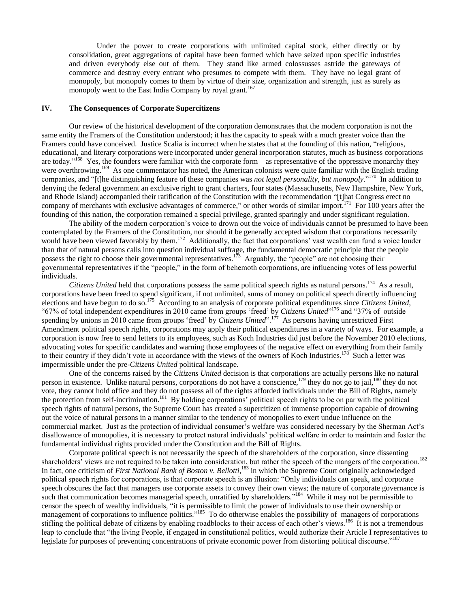<span id="page-6-0"></span>Under the power to create corporations with unlimited capital stock, either directly or by consolidation, great aggregations of capital have been formed which have seized upon specific industries and driven everybody else out of them. They stand like armed colossusses astride the gateways of commerce and destroy every entrant who presumes to compete with them. They have no legal grant of monopoly, but monopoly comes to them by virtue of their size, organization and strength, just as surely as monopoly went to the East India Company by royal grant.<sup>167</sup>

## **IV. The Consequences of Corporate Supercitizens**

Our review of the historical development of the corporation demonstrates that the modern corporation is not the same entity the Framers of the Constitution understood; it has the capacity to speak with a much greater voice than the Framers could have conceived. Justice Scalia is incorrect when he states that at the founding of this nation, "religious, educational, and literary corporations were incorporated under general incorporation statutes, much as business corporations are today."<sup>168</sup> Yes, the founders were familiar with the corporate form—as representative of the oppressive monarchy they were overthrowing.<sup>169</sup> As one commentator has noted, the American colonists were quite familiar with the English trading companies, and "[t]he distinguishing feature of these companies was *not legal personality, but monopoly*."<sup>170</sup> In addition to denying the federal government an exclusive right to grant charters, four states (Massachusetts, New Hampshire, New York, and Rhode Island) accompanied their ratification of the Constitution with the recommendation "[t]hat Congress erect no company of merchants with exclusive advantages of commerce," or other words of similar import.<sup>171</sup> For 100 years after the founding of this nation, the corporation remained a special privilege, granted sparingly and under significant regulation.

The ability of the modern corporation"s voice to drown out the voice of individuals cannot be presumed to have been contemplated by the Framers of the Constitution, nor should it be generally accepted wisdom that corporations necessarily would have been viewed favorably by them.<sup>172</sup> Additionally, the fact that corporations' vast wealth can fund a voice louder than that of natural persons calls into question individual suffrage, the fundamental democratic principle that the people possess the right to choose their governmental representatives.<sup>173</sup> Arguably, the "people" are not choosing their governmental representatives if the "people," in the form of behemoth corporations, are influencing votes of less powerful individuals.

Citizens United held that corporations possess the same political speech rights as natural persons.<sup>174</sup> As a result, corporations have been freed to spend significant, if not unlimited, sums of money on political speech directly influencing elections and have begun to do so.<sup>175</sup> According to an analysis of corporate political expenditures since *Citizens United*, "67% of total independent expenditures in 2010 came from groups "freed" by *Citizens United*" <sup>176</sup> and "37% of outside spending by unions in 2010 came from groups 'freed' by *Citizens United*".<sup>177</sup> As persons having unrestricted First Amendment political speech rights, corporations may apply their political expenditures in a variety of ways. For example*,* a corporation is now free to send letters to its employees, such as Koch Industries did just before the November 2010 elections, advocating votes for specific candidates and warning those employees of the negative effect on everything from their family to their country if they didn't vote in accordance with the views of the owners of Koch Industries.<sup>178</sup> Such a letter was impermissible under the pre-*Citizens United* political landscape.

One of the concerns raised by the *Citizens United* decision is that corporations are actually persons like no natural person in existence. Unlike natural persons, corporations do not have a conscience,<sup>179</sup> they do not go to jail,<sup>180</sup> they do not vote, they cannot hold office and they do not possess all of the rights afforded individuals under the Bill of Rights, namely the protection from self-incrimination.<sup>181</sup> By holding corporations' political speech rights to be on par with the political speech rights of natural persons, the Supreme Court has created a supercitizen of immense proportion capable of drowning out the voice of natural persons in a manner similar to the tendency of monopolies to exert undue influence on the commercial market. Just as the protection of individual consumer's welfare was considered necessary by the Sherman Act's disallowance of monopolies, it is necessary to protect natural individuals" political welfare in order to maintain and foster the fundamental individual rights provided under the Constitution and the Bill of Rights.

Corporate political speech is not necessarily the speech of the shareholders of the corporation, since dissenting shareholders<sup>3</sup> views are not required to be taken into consideration, but rather the speech of the mangers of the corporation.<sup>182</sup> In fact, one criticism of *First National Bank of Boston v. Bellotti*, <sup>183</sup> in which the Supreme Court originally acknowledged political speech rights for corporations, is that corporate speech is an illusion: "Only individuals can speak, and corporate speech obscures the fact that managers use corporate assets to convey their own views; the nature of corporate governance is such that communication becomes managerial speech, unratified by shareholders."<sup>184</sup> While it may not be permissible to censor the speech of wealthy individuals, "it is permissible to limit the power of individuals to use their ownership or management of corporations to influence politics."<sup>185</sup> To do otherwise enables the possibility of managers of corporations stifling the political debate of citizens by enabling roadblocks to their access of each other's views.<sup>186</sup> It is not a tremendous leap to conclude that "the living People, if engaged in constitutional politics, would authorize their Article I representatives to legislate for purposes of preventing concentrations of private economic power from distorting political discourse."<sup>187</sup>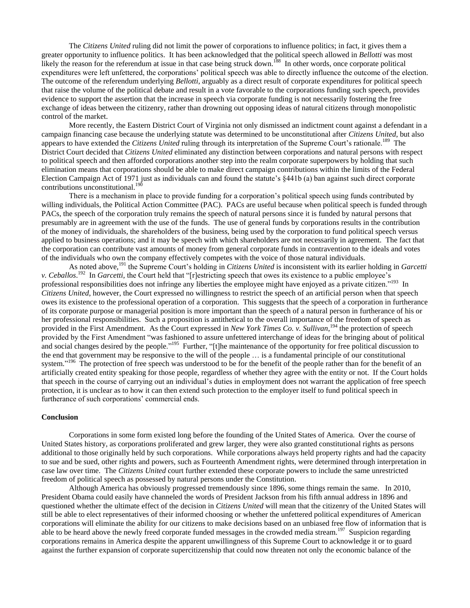The *Citizens United* ruling did not limit the power of corporations to influence politics; in fact, it gives them a greater opportunity to influence politics. It has been acknowledged that the political speech allowed in *Bellotti* was most likely the reason for the referendum at issue in that case being struck down.<sup>188</sup> In other words, once corporate political expenditures were left unfettered, the corporations" political speech was able to directly influence the outcome of the election. The outcome of the referendum underlying *Bellotti*, arguably as a direct result of corporate expenditures for political speech that raise the volume of the political debate and result in a vote favorable to the corporations funding such speech, provides evidence to support the assertion that the increase in speech via corporate funding is not necessarily fostering the free exchange of ideas between the citizenry, rather than drowning out opposing ideas of natural citizens through monopolistic control of the market.

More recently, the Eastern District Court of Virginia not only dismissed an indictment count against a defendant in a campaign financing case because the underlying statute was determined to be unconstitutional after *Citizens United*, but also appears to have extended the *Citizens United* ruling through its interpretation of the Supreme Court's rationale.<sup>189</sup> The District Court decided that *Citizens United* eliminated any distinction between corporations and natural persons with respect to political speech and then afforded corporations another step into the realm corporate superpowers by holding that such elimination means that corporations should be able to make direct campaign contributions within the limits of the Federal Election Campaign Act of 1971 just as individuals can and found the statute's §441b (a) ban against such direct corporate contributions unconstitutional.<sup>190</sup>

There is a mechanism in place to provide funding for a corporation"s political speech using funds contributed by willing individuals, the Political Action Committee (PAC). PACs are useful because when political speech is funded through PACs, the speech of the corporation truly remains the speech of natural persons since it is funded by natural persons that presumably are in agreement with the use of the funds. The use of general funds by corporations results in the contribution of the money of individuals, the shareholders of the business, being used by the corporation to fund political speech versus applied to business operations; and it may be speech with which shareholders are not necessarily in agreement. The fact that the corporation can contribute vast amounts of money from general corporate funds in contravention to the ideals and votes of the individuals who own the company effectively competes with the voice of those natural individuals.

As noted above,<sup>191</sup> the Supreme Court's holding in *Citizens United* is inconsistent with its earlier holding in *Garcetti v. Ceballos*.<sup>192</sup> In *Garcetti*, the Court held that "[r]estricting speech that owes its existence to a public employee's professional responsibilities does not infringe any liberties the employee might have enjoyed as a private citizen."<sup>193</sup> In *Citizens United*, however, the Court expressed no willingness to restrict the speech of an artificial person when that speech owes its existence to the professional operation of a corporation. This suggests that the speech of a corporation in furtherance of its corporate purpose or managerial position is more important than the speech of a natural person in furtherance of his or her professional responsibilities. Such a proposition is antithetical to the overall importance of the freedom of speech as provided in the First Amendment. As the Court expressed in *New York Times Co. v. Sullivan*,<sup>194</sup> the protection of speech provided by the First Amendment "was fashioned to assure unfettered interchange of ideas for the bringing about of political and social changes desired by the people."<sup>195</sup> Further, "[t]he maintenance of the opportunity for free political discussion to the end that government may be responsive to the will of the people … is a fundamental principle of our constitutional system."<sup>196</sup> The protection of free speech was understood to be for the benefit of the people rather than for the benefit of an artificially created entity speaking for those people, regardless of whether they agree with the entity or not. If the Court holds that speech in the course of carrying out an individual"s duties in employment does not warrant the application of free speech protection, it is unclear as to how it can then extend such protection to the employer itself to fund political speech in furtherance of such corporations' commercial ends.

### **Conclusion**

Corporations in some form existed long before the founding of the United States of America. Over the course of United States history, as corporations proliferated and grew larger, they were also granted constitutional rights as persons additional to those originally held by such corporations. While corporations always held property rights and had the capacity to sue and be sued, other rights and powers, such as Fourteenth Amendment rights, were determined through interpretation in case law over time. The *Citizens United* court further extended these corporate powers to include the same unrestricted freedom of political speech as possessed by natural persons under the Constitution.

Although America has obviously progressed tremendously since 1896, some things remain the same. In 2010*,*  President Obama could easily have channeled the words of President Jackson from his fifth annual address in 1896 and questioned whether the ultimate effect of the decision in *Citizens United* will mean that the citizenry of the United States will still be able to elect representatives of their informed choosing or whether the unfettered political expenditures of American corporations will eliminate the ability for our citizens to make decisions based on an unbiased free flow of information that is able to be heard above the newly freed corporate funded messages in the crowded media stream.<sup>197</sup> Suspicion regarding corporations remains in America despite the apparent unwillingness of this Supreme Court to acknowledge it or to guard against the further expansion of corporate supercitizenship that could now threaten not only the economic balance of the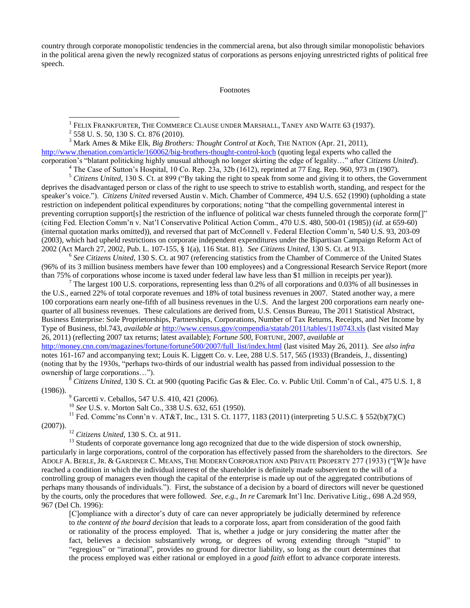country through corporate monopolistic tendencies in the commercial arena, but also through similar monopolistic behaviors in the political arena given the newly recognized status of corporations as persons enjoying unrestricted rights of political free speech.

Footnotes

1 FELIX FRANKFURTER, THE COMMERCE CLAUSE UNDER MARSHALL, TANEY AND WAITE 63 (1937).

<sup>3</sup> Mark Ames & Mike Elk, *Big Brothers: Thought Control at Koch*, THE NATION (Apr. 21, 2011), <http://www.thenation.com/article/160062/big-brothers-thought-control-koch> (quoting legal experts who called the corporation"s "blatant politicking highly unusual although no longer skirting the edge of legality…" after *Citizens United*).

 $4$  The Case of Sutton's Hospital, 10 Co. Rep. 23a, 32b (1612), reprinted at 77 Eng. Rep. 960, 973 m (1907).

<sup>5</sup> Citizens United, 130 S. Ct. at 899 ("By taking the right to speak from some and giving it to others, the Government deprives the disadvantaged person or class of the right to use speech to strive to establish worth, standing, and respect for the speaker"s voice."). *Citizens United* reversed Austin v. Mich. Chamber of Commerce, 494 U.S. 652 (1990) (upholding a state restriction on independent political expenditures by corporations; noting "that the compelling governmental interest in preventing corruption support[s] the restriction of the influence of political war chests funneled through the corporate form[]" (citing Fed. Election Comm"n v. Nat"l Conservative Political Action Comm., 470 U.S. 480, 500-01 (1985)) (*id*. at 659-60) (internal quotation marks omitted)), and reversed that part of McConnell v. Federal Election Comm"n, 540 U.S. 93, 203-09 (2003), which had upheld restrictions on corporate independent expenditures under the Bipartisan Campaign Reform Act of 2002 (Act March 27, 2002, Pub. L. 107-155, § 1(a), 116 Stat. 81). *See Citizens United*, 130 S. Ct. at 913.

<sup>6</sup> See Citizens United, 130 S. Ct. at 907 (referencing statistics from the Chamber of Commerce of the United States (96% of its 3 million business members have fewer than 100 employees) and a Congressional Research Service Report (more than 75% of corporations whose income is taxed under federal law have less than \$1 million in receipts per year)).

<sup>7</sup> The largest 100 U.S. corporations, representing less than 0.2% of all corporations and 0.03% of all businesses in the U.S., earned 22% of total corporate revenues and 18% of total business revenues in 2007. Stated another way, a mere 100 corporations earn nearly one-fifth of all business revenues in the U.S. And the largest 200 corporations earn nearly onequarter of all business revenues. These calculations are derived from, U.S. Census Bureau, The 2011 Statistical Abstract, Business Enterprise: Sole Proprietorships, Partnerships, Corporations, Number of Tax Returns, Receipts, and Net Income by Type of Business, tbl.743, *available at* <http://www.census.gov/compendia/statab/2011/tables/11s0743.xls> (last visited May 26, 2011) (reflecting 2007 tax returns; latest available); *Fortune 500*, FORTUNE, 2007, *available at* [http://money.cnn.com/magazines/fortune/fortune500/2007/full\\_list/index.html](http://money.cnn.com/magazines/fortune/fortune500/2007/full_list/index.html) (last visited May 26, 2011). *See also infra* note[s 161-](#page-5-0)[167](#page-6-0) and accompanying text; Louis K. Liggett Co. v. Lee, 288 U.S. 517, 565 (1933) (Brandeis, J., dissenting) (noting that by the 1930s, "perhaps two-thirds of our industrial wealth has passed from individual possession to the ownership of large corporations…").

<sup>8</sup> *Citizens United,* 130 S. Ct. at 900 (quoting Pacific Gas & Elec. Co. v. Public Util. Comm"n of Cal., 475 U.S. 1, 8 (1986)).

<sup>9</sup> Garcetti v. Ceballos, 547 U.S. 410, 421 (2006).

<sup>10</sup> *See* U.S. v. Morton Salt Co., 338 U.S. 632, 651 (1950).

<sup>11</sup> Fed. Commc'ns Conn'n v. AT&T, Inc., 131 S. Ct. 1177, 1183 (2011) (interpreting 5 U.S.C. § 552(b)(7)(C) (2007)).

<sup>12</sup> *Citizens United*, 130 S. Ct. at 911.

<sup>13</sup> Students of corporate governance long ago recognized that due to the wide dispersion of stock ownership, particularly in large corporations, control of the corporation has effectively passed from the shareholders to the directors. *See* ADOLF A. BERLE, JR. & GARDINER C. MEANS, THE MODERN CORPORATION AND PRIVATE PROPERTY 277 (1933) ("[W]e have reached a condition in which the individual interest of the shareholder is definitely made subservient to the will of a controlling group of managers even though the capital of the enterprise is made up out of the aggregated contributions of perhaps many thousands of individuals."). First, the substance of a decision by a board of directors will never be questioned by the courts, only the procedures that were followed. *See, e.g.*, *In re* Caremark Int"l Inc. Derivative Litig., 698 A.2d 959, 967 (Del Ch. 1996):

[C]ompliance with a director"s duty of care can never appropriately be judicially determined by reference to *the content of the board decision* that leads to a corporate loss, apart from consideration of the good faith or rationality of the process employed. That is, whether a judge or jury considering the matter after the fact, believes a decision substantively wrong, or degrees of wrong extending through "stupid" to "egregious" or "irrational", provides no ground for director liability, so long as the court determines that the process employed was either rational or employed in a *good faith* effort to advance corporate interests.

<sup>&</sup>lt;sup>2</sup> 558 U.S. 50, 130 S.Ct. 876 (2010).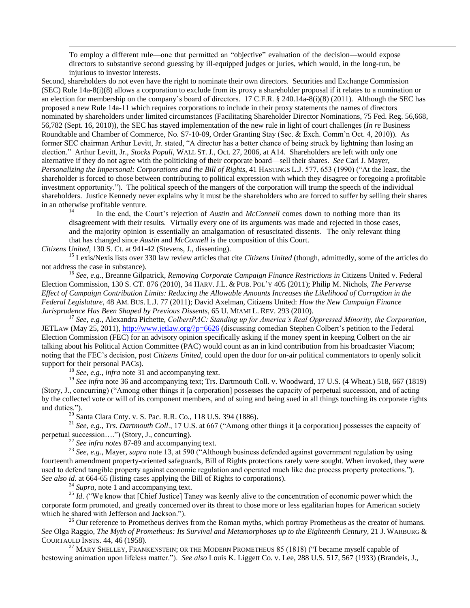To employ a different rule—one that permitted an "objective" evaluation of the decision—would expose directors to substantive second guessing by ill-equipped judges or juries, which would, in the long-run, be injurious to investor interests.

Second, shareholders do not even have the right to nominate their own directors. Securities and Exchange Commission (SEC) Rule 14a-8(i)(8) allows a corporation to exclude from its proxy a shareholder proposal if it relates to a nomination or an election for membership on the company"s board of directors. 17 C.F.R. § 240.14a-8(i)(8) (2011). Although the SEC has proposed a new Rule 14a-11 which requires corporations to include in their proxy statements the names of directors nominated by shareholders under limited circumstances (Facilitating Shareholder Director Nominations, 75 Fed. Reg. 56,668, 56,782 (Sept. 16, 2010)), the SEC has stayed implementation of the new rule in light of court challenges (*In re* Business Roundtable and Chamber of Commerce, No. S7-10-09, Order Granting Stay (Sec. & Exch. Comm"n Oct. 4, 2010)). As former SEC chairman Arthur Levitt, Jr. stated, "A director has a better chance of being struck by lightning than losing an election." Arthur Levitt, Jr., *Stocks Populi*, WALL ST. J., Oct. 27, 2006, at A14. Shareholders are left with only one alternative if they do not agree with the politicking of their corporate board—sell their shares. *See* Carl J. Mayer*, Personalizing the Impersonal: Corporations and the Bill of Rights,* 41 HASTINGS L.J. 577, 653 (1990) ("At the least, the shareholder is forced to chose between contributing to political expression with which they disagree or foregoing a profitable investment opportunity."). The political speech of the mangers of the corporation will trump the speech of the individual shareholders. Justice Kennedy never explains why it must be the shareholders who are forced to suffer by selling their shares in an otherwise profitable venture.

<sup>14</sup> In the end, the Court"s rejection of *Austin* and *McConnell* comes down to nothing more than its disagreement with their results. Virtually every one of its arguments was made and rejected in those cases, and the majority opinion is essentially an amalgamation of resuscitated dissents. The only relevant thing that has changed since *Austin* and *McConnell* is the composition of this Court.

*Citizens United*, 130 S. Ct. at 941-42 (Stevens, J., dissenting).

 $\overline{a}$ 

<sup>15</sup> Lexis/Nexis lists over 330 law review articles that cite *Citizens United* (though, admittedly, some of the articles do not address the case in substance).

<sup>16</sup> *See, e.g.*, Breanne Gilpatrick, *Removing Corporate Campaign Finance Restrictions in* Citizens United v. Federal Election Commission, 130 S. CT. 876 (2010), 34 HARV. J.L. & PUB. POL"Y 405 (2011); Philip M. Nichols, *The Perverse Effect of Campaign Contribution Limits: Reducing the Allowable Amounts Increases the Likelihood of Corruption in the Federal Legislature*, 48 AM. BUS. L.J. 77 (2011); David Axelman, Citizens United: *How the New Campaign Finance Jurisprudence Has Been Shaped by Previous Dissents*, 65 U. MIAMI L. REV. 293 (2010).

<sup>17</sup> *See, e.g.*, Alexandra Pichette, *ColbertPAC: Standing up for America's Real Oppressed Minority, the Corporation*, JETLAW (May 25, 2011)[, http://www.jetlaw.org/?p=6626](http://www.jetlaw.org/?p=6626) (discussing comedian Stephen Colbert's petition to the Federal Election Commission (FEC) for an advisory opinion specifically asking if the money spent in keeping Colbert on the air talking about his Political Action Committee (PAC) would count as an in kind contribution from his broadcaster Viacom; noting that the FEC"s decision, post *Citizens United*, could open the door for on-air political commentators to openly solicit support for their personal PACs).

<sup>18</sup> *See, e.g.*, *infra* note [31](#page-1-0) and accompanying text.

<sup>19</sup> See infra note [36](#page-1-1) and accompanying text; Trs. Dartmouth Coll. v. Woodward, 17 U.S. (4 Wheat.) 518, 667 (1819) (Story, J., concurring) ("Among other things it [a corporation] possesses the capacity of perpetual succession, and of acting by the collected vote or will of its component members, and of suing and being sued in all things touching its corporate rights and duties.").

 $\frac{20}{20}$  Santa Clara Cnty. v. S. Pac. R.R. Co., 118 U.S. 394 (1886).

<sup>21</sup> *See, e.g.*, *Trs. Dartmouth Coll*., 17 U.S. at 667 ("Among other things it [a corporation] possesses the capacity of perpetual succession….") (Story, J., concurring).

<sup>22</sup> *See infra notes* [87](#page-3-0)[-89](#page-3-1) and accompanying text.

<sup>23</sup> *See, e.g.*, Mayer*, supra* not[e 13,](#page-0-0) at 590 ("Although business defended against government regulation by using fourteenth amendment property-oriented safeguards, Bill of Rights protections rarely were sought. When invoked, they were used to defend tangible property against economic regulation and operated much like due process property protections."). *See also id*. at 664-65 (listing cases applying the Bill of Rights to corporations).

<sup>24</sup> *Supra*, not[e 1](#page-0-1) and accompanying text.

<sup>25</sup> *Id.* ("We know that [Chief Justice] Taney was keenly alive to the concentration of economic power which the corporate form promoted, and greatly concerned over its threat to those more or less egalitarian hopes for American society which he shared with Jefferson and Jackson.").

<sup>26</sup> Our reference to Prometheus derives from the Roman myths, which portray Prometheus as the creator of humans. *See* Olga Raggio, *The Myth of Prometheus: Its Survival and Metamorphoses up to the Eighteenth Century*, 21 J. WARBURG & COURTAULD INSTS. 44, 46 (1958).

<sup>27</sup> MARY SHELLEY, FRANKENSTEIN; OR THE MODERN PROMETHEUS 85 (1818) ("I became myself capable of bestowing animation upon lifeless matter."). *See also* Louis K. Liggett Co. v. Lee, 288 U.S. 517, 567 (1933) (Brandeis, J.,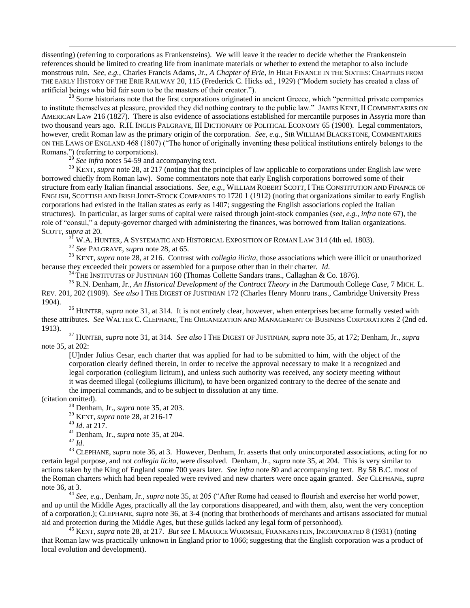dissenting) (referring to corporations as Frankensteins). We will leave it the reader to decide whether the Frankenstein references should be limited to creating life from inanimate materials or whether to extend the metaphor to also include monstrous ruin. *See, e.g.*, Charles Francis Adams, Jr., *A Chapter of Erie, in* HIGH FINANCE IN THE SIXTIES: CHAPTERS FROM THE EARLY HISTORY OF THE ERIE RAILWAY 20, 115 (Frederick C. Hicks ed., 1929) ("Modern society has created a class of artificial beings who bid fair soon to be the masters of their creator.").

 $^{28}$  Some historians note that the first corporations originated in ancient Greece, which "permitted private companies" to institute themselves at pleasure, provided they did nothing contrary to the public law." JAMES KENT, II COMMENTARIES ON AMERICAN LAW 216 (1827). There is also evidence of associations established for mercantile purposes in Assyria more than two thousand years ago. R.H. INGLIS PALGRAVE, III DICTIONARY OF POLITICAL ECONOMY 65 (1908). Legal commentators, however, credit Roman law as the primary origin of the corporation. *See, e.g.,* SIR WILLIAM BLACKSTONE, COMMENTARIES ON THE LAWS OF ENGLAND 468 (1807) ("The honor of originally inventing these political institutions entirely belongs to the Romans.") (referring to corporations).

 $^{29}$  *See infra* notes [54](#page-2-0)[-59](#page-2-1) and accompanying text.

<sup>30</sup> KENT, *supra* note [28,](#page-1-2) at 217 (noting that the principles of law applicable to corporations under English law were borrowed chiefly from Roman law). Some commentators note that early English corporations borrowed some of their structure from early Italian financial associations. *See, e.g.*, WILLIAM ROBERT SCOTT, I THE CONSTITUTION AND FINANCE OF ENGLISH, SCOTTISH AND IRISH JOINT-STOCK COMPANIES TO 1720 1 (1912) (noting that organizations similar to early English corporations had existed in the Italian states as early as 1407; suggesting the English associations copied the Italian structures). In particular, as larger sums of capital were raised through joint-stock companies (*see, e.g., infra* note [67\)](#page-2-2), the role of "consul," a deputy-governor charged with administering the finances, was borrowed from Italian organizations. SCOTT, *supra* at 20.

<sup>31</sup> W.A. HUNTER, A SYSTEMATIC AND HISTORICAL EXPOSITION OF ROMAN LAW 314 (4th ed. 1803).

<sup>32</sup> *See* PALGRAVE, *supra* note [28,](#page-1-2) at 65.

<sup>33</sup> KENT, *supra* note [28,](#page-1-2) at 216. Contrast with *collegia ilicita*, those associations which were illicit or unauthorized because they exceeded their powers or assembled for a purpose other than in their charter. *Id*.

<sup>34</sup> THE INSTITUTES OF JUSTINIAN 160 (Thomas Collette Sandars trans., Callaghan & Co. 1876).

<sup>35</sup> R.N. Denham, Jr., *An Historical Development of the Contract Theory in the* Dartmouth College *Case*, 7 MICH. L. REV. 201, 202 (1909). *See also* I THE DIGEST OF JUSTINIAN 172 (Charles Henry Monro trans., Cambridge University Press 1904).

<sup>36</sup> HUNTER, *supra* note [31,](#page-1-0) at 314. It is not entirely clear, however, when enterprises became formally vested with these attributes. *See* WALTER C. CLEPHANE, THE ORGANIZATION AND MANAGEMENT OF BUSINESS CORPORATIONS 2 (2nd ed. 1913).

<sup>37</sup> HUNTER, *supra* note [31,](#page-1-0) at 314. *See also* I THE DIGEST OF JUSTINIAN, *supra* not[e 35,](#page-1-3) at 172; Denham, Jr., *supra* not[e 35,](#page-1-3) at 202:

[U]nder Julius Cesar, each charter that was applied for had to be submitted to him, with the object of the corporation clearly defined therein, in order to receive the approval necessary to make it a recognized and legal corporation (collegium licitum), and unless such authority was received, any society meeting without it was deemed illegal (collegiums illicitum), to have been organized contrary to the decree of the senate and the imperial commands, and to be subject to dissolution at any time.

(citation omitted).

 $\overline{a}$ 

<sup>38</sup> Denham, Jr., *supra* not[e 35,](#page-1-3) at 203.

<sup>39</sup> KENT, *supra* note [28,](#page-1-2) at 216-17

<sup>40</sup> *Id*. at 217.

<sup>41</sup> Denham, Jr., *supra* not[e 35,](#page-1-3) at 204.

<sup>42</sup> *Id*.

<sup>43</sup> CLEPHANE, *supra* note [36,](#page-1-1) at 3. However, Denham, Jr. asserts that only unincorporated associations, acting for no certain legal purpose, and not *collegia licita*, were dissolved. Denham, Jr., *supra* not[e 35,](#page-1-3) at 204. This is very similar to actions taken by the King of England some 700 years later. *See infra* not[e 80](#page-3-2) and accompanying text. By 58 B.C. most of the Roman charters which had been repealed were revived and new charters were once again granted. *See* CLEPHANE, *supra* not[e 36,](#page-1-1) at 3.

<sup>44</sup> *See, e.g.*, Denham, Jr., *supra* note [35,](#page-1-3) at 205 ("After Rome had ceased to flourish and exercise her world power, and up until the Middle Ages, practically all the lay corporations disappeared, and with them, also, went the very conception of a corporation.); CLEPHANE, *supra* note [36,](#page-1-1) at 3-4 (noting that brotherhoods of merchants and artisans associated for mutual aid and protection during the Middle Ages, but these guilds lacked any legal form of personhood).

<sup>45</sup> KENT, *supra* note [28,](#page-1-2) at 217. *But see* I. MAURICE WORMSER, FRANKENSTEIN, INCORPORATED 8 (1931) (noting that Roman law was practically unknown in England prior to 1066; suggesting that the English corporation was a product of local evolution and development).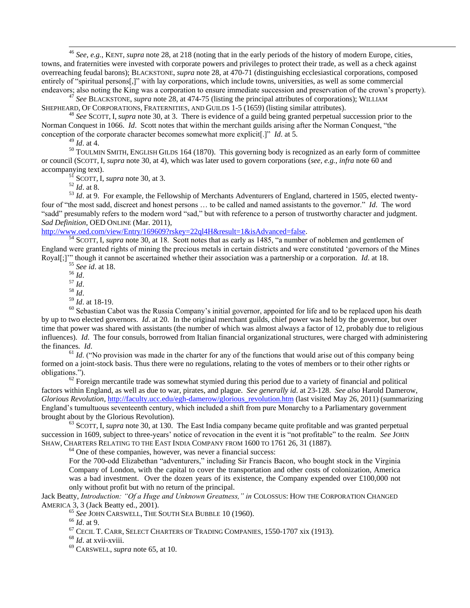<sup>46</sup> *See, e.g.*, KENT, *supra* note [28,](#page-1-2) at 218 (noting that in the early periods of the history of modern Europe, cities, towns, and fraternities were invested with corporate powers and privileges to protect their trade, as well as a check against overreaching feudal barons); BLACKSTONE, *supra* not[e 28,](#page-1-2) at 470-71 (distinguishing ecclesiastical corporations, composed entirely of "spiritual persons[,]" with lay corporations, which include towns, universities, as well as some commercial endeavors; also noting the King was a corporation to ensure immediate succession and preservation of the crown"s property).

<sup>47</sup> *See* BLACKSTONE, *supra* not[e 28,](#page-1-2) at 474-75 (listing the principal attributes of corporations); WILLIAM SHEPHEARD, OF CORPORATIONS, FRATERNITIES, AND GUILDS 1-5 (1659) (listing similar attributes).

<sup>48</sup> *See* SCOTT, I, *supra* note [30,](#page-1-4) at 3. There is evidence of a guild being granted perpetual succession prior to the Norman Conquest in 1066. *Id*. Scott notes that within the merchant guilds arising after the Norman Conquest, "the conception of the corporate character becomes somewhat more explicit[.]" *Id*. at 5.

<sup>49</sup> *Id*. at 4.

 $\overline{a}$ 

<sup>50</sup> TOULMIN SMITH, ENGLISH GILDS 164 (1870). This governing body is recognized as an early form of committee or council (SCOTT, I, *supra* note [30,](#page-1-4) at 4), which was later used to govern corporations (*see, e.g., infra* not[e 60](#page-2-3) and accompanying text).

<sup>51</sup> SCOTT, I, *supra* note [30,](#page-1-4) at 3.

<sup>52</sup> *Id*. at 8.

<sup>53</sup> *Id.* at 9. For example, the Fellowship of Merchants Adventurers of England, chartered in 1505, elected twentyfour of "the most sadd, discreet and honest persons … to be called and named assistants to the governor." *Id*. The word "sadd" presumably refers to the modern word "sad," but with reference to a person of trustworthy character and judgment. *Sad Definition*, OED ONLINE (Mar. 2011),

[http://www.oed.com/view/Entry/169609?rskey=22ql4H&result=1&isAdvanced=false.](http://www.oed.com/view/Entry/169609?rskey=22ql4H&result=1&isAdvanced=false)

<sup>54</sup> SCOTT, I, *supra* note [30,](#page-1-4) at 18. Scott notes that as early as 1485, "a number of noblemen and gentlemen of England were granted rights of mining the precious metals in certain districts and were constituted "governors of the Mines Royal[;]"" though it cannot be ascertained whether their association was a partnership or a corporation. *Id*. at 18.

<sup>55</sup> *See id*. at 18.

<sup>56</sup> *Id*.

<sup>57</sup> *Id*.

- <sup>58</sup> *Id*.
- <sup>59</sup> *Id*. at 18-19.

<sup>60</sup> Sebastian Cabot was the Russia Company's initial governor, appointed for life and to be replaced upon his death by up to two elected governors. *Id*. at 20. In the original merchant guilds, chief power was held by the governor, but over time that power was shared with assistants (the number of which was almost always a factor of 12, probably due to religious influences). *Id*. The four consuls, borrowed from Italian financial organizational structures, were charged with administering the finances. *Id*.

 $61$  *Id.* ("No provision was made in the charter for any of the functions that would arise out of this company being formed on a joint-stock basis. Thus there were no regulations, relating to the votes of members or to their other rights or obligations.").

 $62$  Foreign mercantile trade was somewhat stymied during this period due to a variety of financial and political factors within England, as well as due to war, pirates, and plague. *See generally id*. at 23-128. *See also* Harold Damerow, *Glorious Revolution*, [http://faculty.ucc.edu/egh-damerow/glorious\\_revolution.htm](http://faculty.ucc.edu/egh-damerow/glorious_revolution.htm) (last visited May 26, 2011) (summarizing England"s tumultuous seventeenth century, which included a shift from pure Monarchy to a Parliamentary government brought about by the Glorious Revolution).

<sup>63</sup> SCOTT, I, *supra* note [30,](#page-1-4) at 130. The East India company became quite profitable and was granted perpetual succession in 1609, subject to three-years" notice of revocation in the event it is "not profitable" to the realm. *See* JOHN SHAW, CHARTERS RELATING TO THE EAST INDIA COMPANY FROM 1600 TO 1761 26, 31 (1887).

 $64$  One of these companies, however, was never a financial success:

For the 700-odd Elizabethan "adventurers," including Sir Francis Bacon, who bought stock in the Virginia Company of London, with the capital to cover the transportation and other costs of colonization, America was a bad investment. Over the dozen years of its existence, the Company expended over £100,000 not only without profit but with no return of the principal.

Jack Beatty, *Introduction: "Of a Huge and Unknown Greatness," in* COLOSSUS: HOW THE CORPORATION CHANGED AMERICA 3, 3 (Jack Beatty ed., 2001).

<sup>65</sup> *See* JOHN CARSWELL, THE SOUTH SEA BUBBLE 10 (1960).

<sup>66</sup> *Id*. at 9.

 $67$  CECIL T. CARR, SELECT CHARTERS OF TRADING COMPANIES, 1550-1707 xix (1913).

<sup>68</sup> *Id*. at xvii-xviii.

<sup>69</sup> CARSWELL, *supra* not[e 65,](#page-2-4) at 10.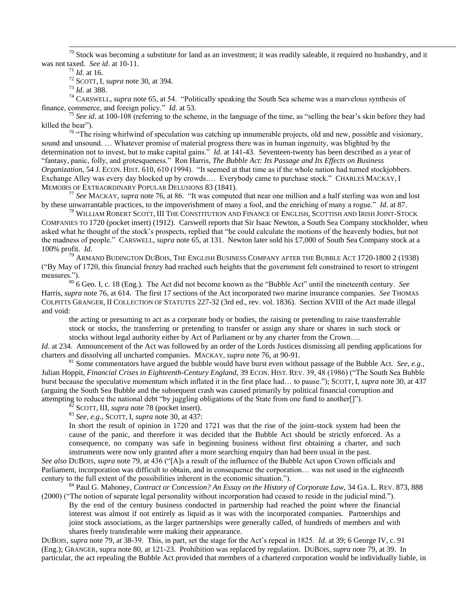$70$  Stock was becoming a substitute for land as an investment; it was readily saleable, it required no husbandry, and it was not taxed. *See id*. at 10-11.

<sup>71</sup> *Id*. at 16.

 $\overline{a}$ 

<sup>72</sup> SCOTT, I, *supra* note [30,](#page-1-4) at 394.

<sup>73</sup> *Id*. at 388.

<sup>74</sup> CARSWELL, *supra* not[e 65,](#page-2-4) at 54. "Politically speaking the South Sea scheme was a marvelous synthesis of finance, commerce, and foreign policy." *Id*. at 53.

<sup>75</sup> *See id*. at 100-108 (referring to the scheme, in the language of the time, as "selling the bear"s skin before they had killed the bear").

<sup>76</sup> "The rising whirlwind of speculation was catching up innumerable projects, old and new, possible and visionary, sound and unsound. … Whatever promise of material progress there was in human ingenuity, was blighted by the determination not to invest, but to make capital gains." *Id*. at 141-43. Seventeen-twenty has been described as a year of "fantasy, panic, folly, and grotesqueness." Ron Harris, *The Bubble Act: Its Passage and Its Effects on Business Organization*, 54 J. ECON. HIST. 610, 610 (1994). "It seemed at that time as if the whole nation had turned stockjobbers. Exchange Alley was every day blocked up by crowds…. Everybody came to purchase stock." CHARLES MACKAY, I MEMOIRS OF EXTRAORDINARY POPULAR DELUSIONS 83 (1841).

<sup>77</sup> *See* MACKAY, *supra* not[e 76,](#page-2-5) at 86. "It was computed that near one million and a half sterling was won and lost by these unwarrantable practices, to the impoverishment of many a fool, and the enriching of many a rogue." *Id*. at 87.

 $^{78}$  William Robert Scott, III The Constitution and Finance of English, Scottish and Irish Joint-Stock COMPANIES TO 1720 (pocket insert) (1912). Carswell reports that Sir Isaac Newton, a South Sea Company stockholder, when asked what he thought of the stock"s prospects, replied that "he could calculate the motions of the heavenly bodies, but not the madness of people." CARSWELL, *supra* not[e 65,](#page-2-4) at 131. Newton later sold his £7,000 of South Sea Company stock at a 100% profit. *Id*.

 $^{79}$  Armand Budington DuBois, The English Business Company after the Bubble Act 1720-1800 2 (1938) ("By May of 1720, this financial frenzy had reached such heights that the government felt constrained to resort to stringent measures.").

<sup>80</sup> 6 Geo. I, c. 18 (Eng.). The Act did not become known as the "Bubble Act" until the nineteenth century. *See* Harris, *supra* note [76,](#page-2-5) at 614. The first 17 sections of the Act incorporated two marine insurance companies. *See* THOMAS COLPITTS GRANGER, II COLLECTION OF STATUTES 227-32 (3rd ed., rev. vol. 1836). Section XVIII of the Act made illegal and void:

the acting or presuming to act as a corporate body or bodies, the raising or pretending to raise transferrable stock or stocks, the transferring or pretending to transfer or assign any share or shares in such stock or stocks without legal authority either by Act of Parliament or by any charter from the Crown….

*Id.* at 234. Announcement of the Act was followed by an order of the Lords Justices dismissing all pending applications for charters and dissolving all uncharted companies. MACKAY, *supra* not[e 76,](#page-2-5) at 90-91.

<sup>81</sup> Some commentators have argued the bubble would have burst even without passage of the Bubble Act. *See, e.g.*, Julian Hoppit, *Financial Crises in Eighteenth-Century England*, 39 ECON. HIST. REV. 39, 48 (1986) ("The South Sea Bubble burst because the speculative momentum which inflated it in the first place had… to pause."); SCOTT, I, *supra* note [30,](#page-1-4) at 437 (arguing the South Sea Bubble and the subsequent crash was caused primarily by political financial corruption and attempting to reduce the national debt "by juggling obligations of the State from one fund to another[]").

<sup>2</sup> SCOTT, III, *supra* note [78](#page-2-6) (pocket insert).

<sup>83</sup> *See, e.g.*, SCOTT, I, *supra* not[e 30,](#page-1-4) at 437:

In short the result of opinion in 1720 and 1721 was that the rise of the joint-stock system had been the cause of the panic, and therefore it was decided that the Bubble Act should be strictly enforced. As a consequence, no company was safe in beginning business without first obtaining a charter, and such instruments were now only granted after a more searching enquiry than had been usual in the past.

*See also* DUBOIS, *supra* note [79,](#page-3-3) at 436 ("[A]s a result of the influence of the Bubble Act upon Crown officials and Parliament, incorporation was difficult to obtain, and in consequence the corporation… was not used in the eighteenth century to the full extent of the possibilities inherent in the economic situation.").

<sup>84</sup> Paul G. Mahoney, *Contract or Concession? An Essay on the History of Corporate Law*, 34 GA. L. REV. 873, 888 (2000) ("The notion of separate legal personality without incorporation had ceased to reside in the judicial mind.").

By the end of the century business conducted in partnership had reached the point where the financial interest was almost if not entirely as liquid as it was with the incorporated companies. Partnerships and joint stock associations, as the larger partnerships were generally called, of hundreds of members and with shares freely transferable were making their appearance.

DUBOIS, *supra* not[e 79,](#page-3-3) at 38-39. This, in part, set the stage for the Act's repeal in 1825. *Id.* at 39; 6 George IV, c. 91 (Eng.); GRANGER, supra not[e 80,](#page-3-2) at 121-23. Prohibition was replaced by regulation. DUBOIS, *supra* note [79,](#page-3-3) at 39. In particular, the act repealing the Bubble Act provided that members of a chartered corporation would be individually liable, in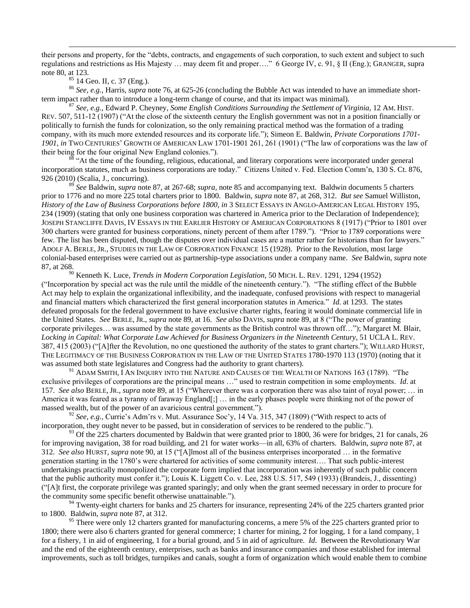their persons and property, for the "debts, contracts, and engagements of such corporation, to such extent and subject to such regulations and restrictions as His Majesty … may deem fit and proper…." 6 George IV, c. 91, § II (Eng.); GRANGER, supra not[e 80,](#page-3-2) at 123.

<sup>85</sup> 14 Geo. II, c. 37 (Eng.).

 $\overline{a}$ 

<sup>86</sup> *See, e.g.*, Harris, *supra* note [76,](#page-2-5) at 625-26 (concluding the Bubble Act was intended to have an immediate shortterm impact rather than to introduce a long-term change of course, and that its impact was minimal).

<sup>87</sup> *See, e.g.*, Edward P. Cheyney, *Some English Conditions Surrounding the Settlement of Virginia*, 12 AM. HIST. REV. 507, 511-12 (1907) ("At the close of the sixteenth century the English government was not in a position financially or politically to furnish the funds for colonization, so the only remaining practical method was the formation of a trading company, with its much more extended resources and its corporate life."); Simeon E. Baldwin, *Private Corporations 1701- 1901, in* TWO CENTURIES" GROWTH OF AMERICAN LAW 1701-1901 261, 261 (1901) ("The law of corporations was the law of their being for the four original New England colonies.").

<sup>88</sup> "At the time of the founding, religious, educational, and literary corporations were incorporated under general incorporation statutes, much as business corporations are today." Citizens United v. Fed. Election Comm'n, 130 S. Ct. 876, 926 (2010) (Scalia, J., concurring).

<sup>89</sup> *See* Baldwin, *supra* note [87,](#page-3-0) at 267-68; *supra*, note [85](#page-3-4) and accompanying text. Baldwin documents 5 charters prior to 1776 and no more 225 total charters prior to 1800. Baldwin, *supra* not[e 87,](#page-3-0) at 268, 312. *But see* Samuel Williston, *History of the Law of Business Corporations before 1800, in* 3 SELECT ESSAYS IN ANGLO-AMERICAN LEGAL HISTORY 195, 234 (1909) (stating that only one business corporation was chartered in America prior to the Declaration of Independence); JOSEPH STANCLIFFE DAVIS, IV ESSAYS IN THE EARLIER HISTORY OF AMERICAN CORPORATIONS 8 (1917) ("Prior to 1801 over 300 charters were granted for business corporations, ninety percent of them after 1789."). "Prior to 1789 corporations were few. The list has been disputed, though the disputes over individual cases are a matter rather for historians than for lawyers." ADOLF A. BERLE, JR., STUDIES IN THE LAW OF CORPORATION FINANCE 15 (1928). Prior to the Revolution, most large colonial-based enterprises were carried out as partnership-type associations under a company name. *See* Baldwin, *supra* note [87,](#page-3-0) at 268.

<sup>90</sup> Kenneth K. Luce, *Trends in Modern Corporation Legislation*, 50 MICH. L. REV. 1291, 1294 (1952) ("Incorporation by special act was the rule until the middle of the nineteenth century."). "The stifling effect of the Bubble Act may help to explain the organizational inflexibility, and the inadequate, confused provisions with respect to managerial and financial matters which characterized the first general incorporation statutes in America." *Id*. at 1293. The states defeated proposals for the federal government to have exclusive charter rights, fearing it would dominate commercial life in the United States. *See* BERLE, JR., *supra* note [89,](#page-3-1) at 16. *See also* DAVIS, *supra* not[e 89,](#page-3-1) at 8 ("The power of granting corporate privileges… was assumed by the state governments as the British control was thrown off…"); Margaret M. Blair, *Locking in Capital: What Corporate Law Achieved for Business Organizers in the Nineteenth Century*, 51 UCLA L. REV. 387, 415 (2003) ("[A]fter the Revolution, no one questioned the authority of the states to grant charters."); WILLARD HURST, THE LEGITIMACY OF THE BUSINESS CORPORATION IN THE LAW OF THE UNITED STATES 1780-1970 113 (1970) (noting that it was assumed both state legislatures and Congress had the authority to grant charters).

 $^{91}$  Adam Smith, I An Inquiry into the Nature and Causes of the Wealth of Nations 163 (1789). "The exclusive privileges of corporations are the principal means …" used to restrain competition in some employments. *Id*. at 157. *See also* BERLE, JR., *supra* note [89,](#page-3-1) at 15 ("Wherever there was a corporation there was also taint of royal power; … in America it was feared as a tyranny of faraway England[;] … in the early phases people were thinking not of the power of massed wealth, but of the power of an avaricious central government.").

<sup>92</sup> *See, e.g.*, Currie's Adm'rs v. Mut. Assurance Soc'y, 14 Va. 315, 347 (1809) ("With respect to acts of incorporation, they ought never to be passed, but in consideration of services to be rendered to the public.").

 $93$  Of the 225 charters documented by Baldwin that were granted prior to 1800, 36 were for bridges, 21 for canals, 26 for improving navigation, 38 for road building, and 21 for water works—in all, 63% of charters. Baldwin, *supra* not[e 87,](#page-3-0) at 312. *See also* HURST, *supra* not[e 90,](#page-3-5) at 15 ("[A]lmost all of the business enterprises incorporated … in the formative generation starting in the 1780"s were chartered for activities of some community interest…. That such public-interest undertakings practically monopolized the corporate form implied that incorporation was inherently of such public concern that the public authority must confer it."); Louis K. Liggett Co. v. Lee, 288 U.S. 517, 549 (1933) (Brandeis, J., dissenting) ("[A]t first, the corporate privilege was granted sparingly; and only when the grant seemed necessary in order to procure for the community some specific benefit otherwise unattainable.").

<sup>94</sup> Twenty-eight charters for banks and 25 charters for insurance, representing 24% of the 225 charters granted prior to 1800. Baldwin, *supra* not[e 87,](#page-3-0) at 312.

<sup>95</sup> There were only 12 charters granted for manufacturing concerns, a mere 5% of the 225 charters granted prior to 1800; there were also 6 charters granted for general commerce; 1 charter for mining, 2 for logging, 1 for a land company, 1 for a fishery, 1 in aid of engineering, 1 for a burial ground, and 5 in aid of agriculture. *Id*. Between the Revolutionary War and the end of the eighteenth century, enterprises, such as banks and insurance companies and those established for internal improvements, such as toll bridges, turnpikes and canals, sought a form of organization which would enable them to combine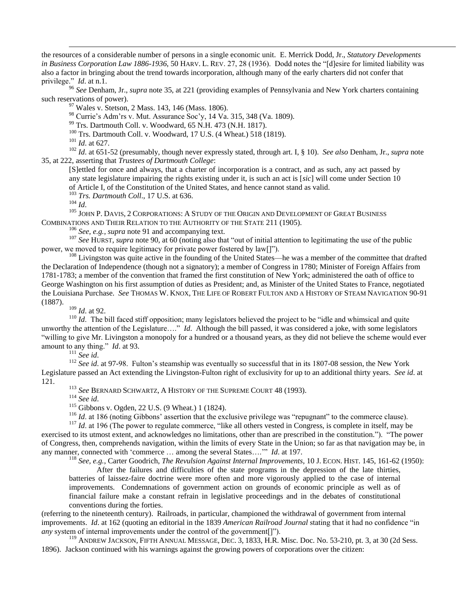the resources of a considerable number of persons in a single economic unit. E. Merrick Dodd, Jr., *Statutory Developments in Business Corporation Law 1886-1936*, 50 HARV. L. REV. 27, 28 (1936). Dodd notes the "[d]esire for limited liability was also a factor in bringing about the trend towards incorporation, although many of the early charters did not confer that privilege." *Id*. at n.1.

<sup>96</sup> *See* Denham, Jr., *supra* note [35,](#page-1-3) at 221 (providing examples of Pennsylvania and New York charters containing such reservations of power).

<sup>97</sup> Wales v. Stetson, 2 Mass. 143, 146 (Mass. 1806).

<sup>98</sup> Currie's Adm'rs v. Mut. Assurance Soc'y, 14 Va. 315, 348 (Va. 1809).

<sup>99</sup> Trs. Dartmouth Coll. v. Woodward, 65 N.H. 473 (N.H. 1817).

 $100$  Trs. Dartmouth Coll. v. Woodward, 17 U.S. (4 Wheat.) 518 (1819).

<sup>101</sup> *Id*. at 627.

 $\overline{a}$ 

<sup>102</sup> *Id*. at 651-52 (presumably, though never expressly stated, through art. I, § 10). *See also* Denham, Jr., *supra* note [35,](#page-1-3) at 222, asserting that *Trustees of Dartmouth College*:

[S]ettled for once and always, that a charter of incorporation is a contract, and as such, any act passed by any state legislature impairing the rights existing under it, is such an act is [*sic*] will come under Section 10 of Article I, of the Constitution of the United States, and hence cannot stand as valid.

<sup>103</sup> *Trs. Dartmouth Coll*., 17 U.S. at 636.

<sup>104</sup> *Id*.

 $^{105}$  JOHN P. DAVIS, 2 CORPORATIONS: A STUDY OF THE ORIGIN AND DEVELOPMENT OF GREAT BUSINESS COMBINATIONS AND THEIR RELATION TO THE AUTHORITY OF THE STATE 211 (1905).

<sup>106</sup> *See, e.g., supra* not[e 91](#page-3-6) and accompanying text.

<sup>107</sup> See HURST, *supra* note [90,](#page-3-5) at 60 (noting also that "out of initial attention to legitimating the use of the public power, we moved to require legitimacy for private power fostered by law[]").

<sup>108</sup> Livingston was quite active in the founding of the United States—he was a member of the committee that drafted the Declaration of Independence (though not a signatory); a member of Congress in 1780; Minister of Foreign Affairs from 1781-1783; a member of the convention that framed the first constitution of New York; administered the oath of office to George Washington on his first assumption of duties as President; and, as Minister of the United States to France, negotiated the Louisiana Purchase. *See* THOMAS W. KNOX, THE LIFE OF ROBERT FULTON AND A HISTORY OF STEAM NAVIGATION 90-91 (1887).

<sup>109</sup> *Id*. at 92.

<sup>110</sup> *Id*. The bill faced stiff opposition; many legislators believed the project to be "idle and whimsical and quite unworthy the attention of the Legislature…." *Id*. Although the bill passed, it was considered a joke, with some legislators "willing to give Mr. Livingston a monopoly for a hundred or a thousand years, as they did not believe the scheme would ever amount to any thing." *Id*. at 93.

<sup>111</sup> *See id*.

<sup>112</sup> *See id.* at 97-98. Fulton's steamship was eventually so successful that in its 1807-08 session, the New York Legislature passed an Act extending the Livingston-Fulton right of exclusivity for up to an additional thirty years. *See id*. at 121.

<sup>113</sup> *See* BERNARD SCHWARTZ, A HISTORY OF THE SUPREME COURT 48 (1993).

<sup>114</sup> *See id*.

<sup>115</sup> Gibbons v. Ogden, 22 U.S. (9 Wheat.) 1 (1824).

 $116$  *Id.* at 186 (noting Gibbons' assertion that the exclusive privilege was "repugnant" to the commerce clause).

<sup>117</sup> *Id.* at 196 (The power to regulate commerce, "like all others vested in Congress, is complete in itself, may be exercised to its utmost extent, and acknowledges no limitations, other than are prescribed in the constitution."). "The power of Congress, then, comprehends navigation, within the limits of every State in the Union; so far as that navigation may be, in any manner, connected with "commerce … among the several States…."" *Id*. at 197.

<sup>118</sup> *See, e.g.*, Carter Goodrich, *The Revulsion Against Internal Improvements*, 10 J. ECON. HIST. 145, 161-62 (1950):

After the failures and difficulties of the state programs in the depression of the late thirties, batteries of laissez-faire doctrine were more often and more vigorously applied to the case of internal improvements. Condemnations of government action on grounds of economic principle as well as of financial failure make a constant refrain in legislative proceedings and in the debates of constitutional conventions during the forties.

(referring to the nineteenth century). Railroads, in particular, championed the withdrawal of government from internal improvements. *Id*. at 162 (quoting an editorial in the 1839 *American Railroad Journal* stating that it had no confidence "in *any* system of internal improvements under the control of the government[]").

<sup>119</sup> ANDREW JACKSON, FIFTH ANNUAL MESSAGE, DEC. 3, 1833, H.R. Misc. Doc. No. 53-210, pt. 3, at 30 (2d Sess. 1896). Jackson continued with his warnings against the growing powers of corporations over the citizen: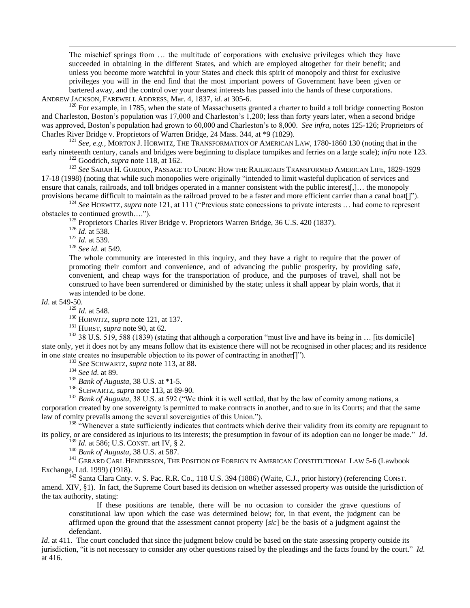The mischief springs from … the multitude of corporations with exclusive privileges which they have succeeded in obtaining in the different States, and which are employed altogether for their benefit; and unless you become more watchful in your States and check this spirit of monopoly and thirst for exclusive privileges you will in the end find that the most important powers of Government have been given or bartered away, and the control over your dearest interests has passed into the hands of these corporations.

ANDREW JACKSON, FAREWELL ADDRESS, Mar. 4, 1837, *id*. at 305-6.

 $120$  For example, in 1785, when the state of Massachusetts granted a charter to build a toll bridge connecting Boston and Charleston, Boston"s population was 17,000 and Charleston"s 1,200; less than forty years later, when a second bridge was approved, Boston"s population had grown to 60,000 and Charleston"s to 8,000. *See infra*, note[s 125-](#page-4-0)[126;](#page-4-1) Proprietors of Charles River Bridge v. Proprietors of Warren Bridge, 24 Mass. 344, at \*9 (1829).

<sup>121</sup> *See, e.g.*, MORTON J. HORWITZ, THE TRANSFORMATION OF AMERICAN LAW, 1780-1860 130 (noting that in the early nineteenth century, canals and bridges were beginning to displace turnpikes and ferries on a large scale); *infra* note [123.](#page-4-2) <sup>122</sup> Goodrich, *supra* note [118,](#page-4-3) at 162.

<sup>123</sup> *See* SARAH H. GORDON, PASSAGE TO UNION: HOW THE RAILROADS TRANSFORMED AMERICAN LIFE, 1829-1929 17-18 (1998) (noting that while such monopolies were originally "intended to limit wasteful duplication of services and ensure that canals, railroads, and toll bridges operated in a manner consistent with the public interest[,]... the monopoly provisions became difficult to maintain as the railroad proved to be a faster and more efficient carrier than a canal boat[]").

<sup>124</sup> *See* HORWITZ, *supra* note [121,](#page-4-4) at 111 ("Previous state concessions to private interests … had come to represent obstacles to continued growth….").

<sup>125</sup> Proprietors Charles River Bridge v. Proprietors Warren Bridge, 36 U.S. 420 (1837).

<sup>126</sup> *Id*. at 538.

 $\overline{a}$ 

<sup>127</sup> *Id*. at 539.

<sup>128</sup> *See id*. at 549.

The whole community are interested in this inquiry, and they have a right to require that the power of promoting their comfort and convenience, and of advancing the public prosperity, by providing safe, convenient, and cheap ways for the transportation of produce, and the purposes of travel, shall not be construed to have been surrendered or diminished by the state; unless it shall appear by plain words, that it was intended to be done.

*Id*. at 549-50.

<sup>129</sup> *Id*. at 548.

<sup>130</sup> HORWITZ, *supra* not[e 121,](#page-4-4) at 137.

<sup>131</sup> HURST, *supra* note [90,](#page-3-5) at 62.

<sup>132</sup> 38 U.S. 519, 588 (1839) (stating that although a corporation "must live and have its being in ... [its domicile] state only, yet it does not by any means follow that its existence there will not be recognised in other places; and its residence in one state creates no insuperable objection to its power of contracting in another[]").

<sup>133</sup> *See* SCHWARTZ, *supra* not[e 113,](#page-4-5) at 88.

<sup>134</sup> *See id*. at 89.

<sup>135</sup> *Bank of Augusta*, 38 U.S. at \*1-5.

<sup>136</sup> SCHWARTZ, *supra* note [113,](#page-4-5) at 89-90.

<sup>137</sup> *Bank of Augusta*, 38 U.S. at 592 ("We think it is well settled, that by the law of comity among nations, a corporation created by one sovereignty is permitted to make contracts in another, and to sue in its Courts; and that the same law of comity prevails among the several sovereignties of this Union.").

<sup>138</sup> "Whenever a state sufficiently indicates that contracts which derive their validity from its comity are repugnant to its policy, or are considered as injurious to its interests; the presumption in favour of its adoption can no longer be made." *Id*.

<sup>139</sup> *Id*. at 586; U.S. CONST. art IV, § 2.

<sup>140</sup> *Bank of Augusta*, 38 U.S. at 587.

<sup>141</sup> GERARD CARL HENDERSON, THE POSITION OF FOREIGN IN AMERICAN CONSTITUTIONAL LAW 5-6 (Lawbook Exchange, Ltd. 1999) (1918).

<sup>142</sup> Santa Clara Cnty. v. S. Pac. R.R. Co., 118 U.S. 394 (1886) (Waite, C.J., prior history) (referencing CONST. amend. XIV, §1). In fact, the Supreme Court based its decision on whether assessed property was outside the jurisdiction of the tax authority, stating:

If these positions are tenable, there will be no occasion to consider the grave questions of constitutional law upon which the case was determined below; for, in that event, the judgment can be affirmed upon the ground that the assessment cannot property [*sic*] be the basis of a judgment against the defendant.

*Id.* at 411. The court concluded that since the judgment below could be based on the state assessing property outside its jurisdiction, "it is not necessary to consider any other questions raised by the pleadings and the facts found by the court." *Id*. at 416.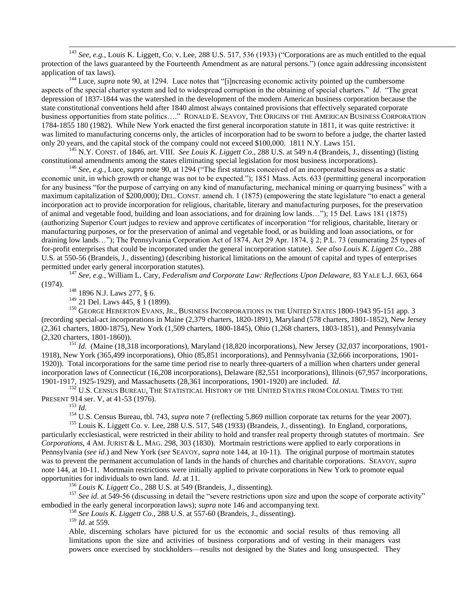<sup>143</sup> *See, e.g.*, Louis K. Liggett, Co. v. Lee, 288 U.S. 517, 536 (1933) ("Corporations are as much entitled to the equal protection of the laws guaranteed by the Fourteenth Amendment as are natural persons.") (once again addressing inconsistent application of tax laws).

<sup>144</sup> Luce, *supra* note [90,](#page-3-5) at 1294. Luce notes that "[i]ncreasing economic activity pointed up the cumbersome aspects of the special charter system and led to widespread corruption in the obtaining of special charters." *Id*. "The great depression of 1837-1844 was the watershed in the development of the modern American business corporation because the state constitutional conventions held after 1840 almost always contained provisions that effectively separated corporate business opportunities from state politics…." RONALD E. SEAVOY, THE ORIGINS OF THE AMERICAN BUSINESS CORPORATION 1784-1855 180 (1982). While New York enacted the first general incorporation statute in 1811, it was quite restrictive: it was limited to manufacturing concerns only, the articles of incorporation had to be sworn to before a judge, the charter lasted only 20 years, and the capital stock of the company could not exceed \$100,000. 1811 N.Y. Laws 151.

<sup>145</sup> N.Y. CONST. of 1846, art. VIII. *See Louis K. Liggett Co*., 288 U.S. at 549 n.4 (Brandeis, J., dissenting) (listing constitutional amendments among the states eliminating special legislation for most business incorporations).

<sup>146</sup> *See, e.g.*, Luce, *supra* not[e 90,](#page-3-5) at 1294 ("The first statutes conceived of an incorporated business as a static economic unit, in which growth or change was not to be expected."); 1851 Mass. Acts. 633 (permitting general incorporation for any business "for the purpose of carrying on any kind of manufacturing, mechanical mining or quarrying business" with a maximum capitalization of \$200,000); DEL. CONST. amend ch. 1 (1875) (empowering the state legislature "to enact a general incorporation act to provide incorporation for religious, charitable, literary and manufacturing purposes, for the preservation of animal and vegetable food, building and loan associations, and for draining low lands…"); 15 Del. Laws 181 (1875) (authorizing Superior Court judges to review and approve certificates of incorporation "for religious, charitable, literary or manufacturing purposes, or for the preservation of animal and vegetable food, or as building and loan associations, or for draining low lands…"); The Pennsylvania Corporation Act of 1874, Act 29 Apr. 1874, § 2; P.L. 73 (enumerating 25 types of for-profit enterprises that could be incorporated under the general incorporation statute). *See also Louis K. Liggett Co*., 288 U.S. at 550-56 (Brandeis, J., dissenting) (describing historical limitations on the amount of capital and types of enterprises permitted under early general incorporation statutes).

<sup>147</sup> *See, e.g.*, William L. Cary, *Federalism and Corporate Law: Reflections Upon Delaware*, 83 YALE L.J. 663, 664 (1974).

 $^{148}$  1896 N.J. Laws 277,  $\S$  6.

<sup>149</sup> 21 Del. Laws 445, § 1 (1899).

<sup>150</sup> GEORGE HEBERTON EVANS, JR., BUSINESS INCORPORATIONS IN THE UNITED STATES 1800-1943 95-151 app. 3 (recording special-act incorporations in Maine (2,379 charters, 1820-1891), Maryland (578 charters, 1801-1852), New Jersey (2,361 charters, 1800-1875), New York (1,509 charters, 1800-1845), Ohio (1,268 charters, 1803-1851), and Pennsylvania (2,320 charters, 1801-1860)).

<sup>151</sup> *Id*. (Maine (18,318 incorporations), Maryland (18,820 incorporations), New Jersey (32,037 incorporations, 1901- 1918), New York (365,499 incorporations), Ohio (85,851 incorporations), and Pennsylvania (32,666 incorporations, 1901- 1920)). Total incorporations for the same time period rise to nearly three-quarters of a million when charters under general incorporation laws of Connecticut (16,208 incorporations), Delaware (82,551 incorporations), Illinois (67,957 incorporations, 1901-1917, 1925-1929), and Massachusetts (28,361 incorporations, 1901-1920) are included. *Id*.

<sup>152</sup> U.S. CENSUS BUREAU, THE STATISTICAL HISTORY OF THE UNITED STATES FROM COLONIAL TIMES TO THE PRESENT 914 ser. V, at 41-53 (1976).

<sup>153</sup> *Id*.

 $\overline{a}$ 

<sup>154</sup> U.S. Census Bureau, tbl. [7](#page-0-2)43, *supra* note 7 (reflecting 5.869 million corporate tax returns for the year 2007).

<sup>155</sup> Louis K. Liggett Co. v. Lee, 288 U.S. 517, 548 (1933) (Brandeis, J., dissenting). In England, corporations, particularly ecclesiastical, were restricted in their ability to hold and transfer real property through statutes of mortmain. *See Corporations*, 4 AM. JURIST & L. MAG. 298, 303 (1830). Mortmain restrictions were applied to early corporations in Pennsylvania (*see id*.) and New York (*see* SEAVOY, *supra* note [144,](#page-5-1) at 10-11). The original purpose of mortmain statutes was to prevent the permanent accumulation of lands in the hands of churches and charitable corporations. SEAVOY, *supra* not[e 144,](#page-5-1) at 10-11. Mortmain restrictions were initially applied to private corporations in New York to promote equal opportunities for individuals to own land. *Id*. at 11.

<sup>156</sup> *Louis K. Liggett Co*., 288 U.S. at 549 (Brandeis, J., dissenting).

<sup>157</sup> *See id.* at 549-56 (discussing in detail the "severe restrictions upon size and upon the scope of corporate activity" embodied in the early general incorporation laws); *supra* not[e 146](#page-5-2) and accompanying text.

<sup>158</sup> *See Louis K. Liggett Co*., 288 U.S. at 557-60 (Brandeis, J., dissenting).

<sup>159</sup> *Id*. at 559.

Able, discerning scholars have pictured for us the economic and social results of thus removing all limitations upon the size and activities of business corporations and of vesting in their managers vast powers once exercised by stockholders—results not designed by the States and long unsuspected. They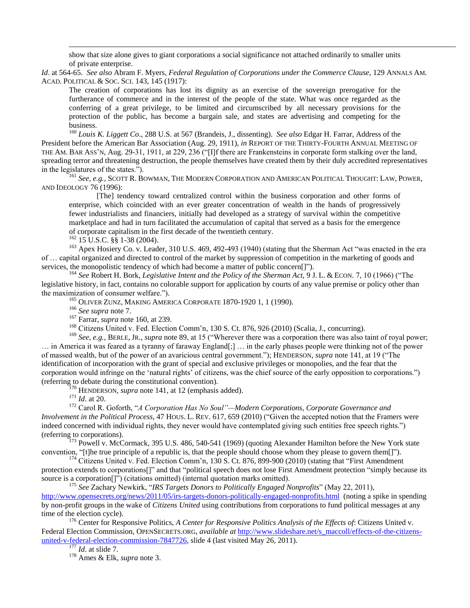show that size alone gives to giant corporations a social significance not attached ordinarily to smaller units of private enterprise.

*Id*. at 564-65. *See also* Abram F. Myers, *Federal Regulation of Corporations under the Commerce Clause*, 129 ANNALS AM. ACAD. POLITICAL & SOC. SCI. 143, 145 (1917):

The creation of corporations has lost its dignity as an exercise of the sovereign prerogative for the furtherance of commerce and in the interest of the people of the state. What was once regarded as the conferring of a great privilege, to be limited and circumscribed by all necessary provisions for the protection of the public, has become a bargain sale, and states are advertising and competing for the business.

<sup>160</sup> *Louis K. Liggett Co*., 288 U.S. at 567 (Brandeis, J., dissenting). *See also* Edgar H. Farrar, Address of the President before the American Bar Association (Aug. 29, 1911), *in* REPORT OF THE THIRTY-FOURTH ANNUAL MEETING OF THE AM. BAR ASS"N, Aug. 29-31, 1911, at 229, 236 ("[I]f there are Frankensteins in corporate form stalking over the land, spreading terror and threatening destruction, the people themselves have created them by their duly accredited representatives in the legislatures of the states.").

<sup>161</sup> *See, e.g.*, SCOTT R. BOWMAN, THE MODERN CORPORATION AND AMERICAN POLITICAL THOUGHT: LAW, POWER, AND IDEOLOGY 76 (1996):

[The] tendency toward centralized control within the business corporation and other forms of enterprise, which coincided with an ever greater concentration of wealth in the hands of progressively fewer industrialists and financiers, initially had developed as a strategy of survival within the competitive marketplace and had in turn facilitated the accumulation of capital that served as a basis for the emergence of corporate capitalism in the first decade of the twentieth century.

 $162$  15 U.S.C. §§ 1-38 (2004).

 $\overline{a}$ 

<sup>163</sup> Apex Hosiery Co. v. Leader, 310 U.S. 469, 492-493 (1940) (stating that the Sherman Act "was enacted in the era of … capital organized and directed to control of the market by suppression of competition in the marketing of goods and services, the monopolistic tendency of which had become a matter of public concern[]").

<sup>164</sup> *See* Robert H. Bork, *Legislative Intent and the Policy of the Sherman Act,* 9 J. L. & ECON. 7, 10 (1966) ("The legislative history, in fact, contains no colorable support for application by courts of any value premise or policy other than the maximization of consumer welfare.").

<sup>165</sup> OLIVER ZUNZ, MAKING AMERICA CORPORATE 1870-1920 1, 1 (1990).

<sup>166</sup> *See supra* not[e 7.](#page-0-2)

<sup>167</sup> Farrar, *supra* not[e 160,](#page-5-3) at 239.

<sup>168</sup> Citizens United v. Fed. Election Comm'n, 130 S. Ct. 876, 926 (2010) (Scalia, J., concurring).

<sup>169</sup> *See, e.g.*, BERLE, JR., *supra* note [89,](#page-3-1) at 15 ("Wherever there was a corporation there was also taint of royal power; … in America it was feared as a tyranny of faraway England[;] … in the early phases people were thinking not of the power of massed wealth, but of the power of an avaricious central government."); HENDERSON, *supra* note [141,](#page-5-4) at 19 ("The identification of incorporation with the grant of special and exclusive privileges or monopolies, and the fear that the corporation would infringe on the "natural rights" of citizens, was the chief source of the early opposition to corporations.") (referring to debate during the constitutional convention).

<sup>170</sup> HENDERSON, *supra* note [141,](#page-5-4) at 12 (emphasis added).

<sup>171</sup> *Id*. at 20.

<sup>172</sup> Carol R. Goforth, "*A Corporation Has No Soul"—Modern Corporations, Corporate Governance and Involvement in the Political Process*, 47 HOUS. L. REV. 617, 659 (2010) ("Given the accepted notion that the Framers were indeed concerned with individual rights, they never would have contemplated giving such entities free speech rights.") (referring to corporations).

<sup>173</sup> Powell v. McCormack*,* 395 U.S. 486, 540-541 (1969) (quoting Alexander Hamilton before the New York state convention, "[t]he true principle of a republic is, that the people should choose whom they please to govern them[]").

 $174$  Citizens United v. Fed. Election Comm'n, 130 S. Ct. 876, 899-900 (2010) (stating that "First Amendment" protection extends to corporations[]" and that "political speech does not lose First Amendment protection "simply because its source is a corporation[]") (citations omitted) (internal quotation marks omitted).

<sup>175</sup> *See* Zachary Newkirk, "*IRS Targets Donors to Politically Engaged Nonprofits*" (May 22, 2011), <http://www.opensecrets.org/news/2011/05/irs-targets-donors-politically-engaged-nonprofits.html>(noting a spike in spending by non-profit groups in the wake of *Citizens United* using contributions from corporations to fund political messages at any time of the election cycle).

<sup>176</sup> Center for Responsive Politics, *A Center for Responsive Politics Analysis of the Effects of*: Citizens United v. Federal Election Commission, OPENSECRETS.ORG, *available at* [http://www.slideshare.net/s\\_maccoll/effects-of-the-citizens](http://www.slideshare.net/s_maccoll/effects-of-the-citizens-united-v-federal-election-commission-7847726)[united-v-federal-election-commission-7847726,](http://www.slideshare.net/s_maccoll/effects-of-the-citizens-united-v-federal-election-commission-7847726) slide 4 (last visited May 26, 2011). <sup>177</sup> *Id.* at slide 7.

<sup>178</sup> Ames & Elk, *supra* note [3.](#page-0-3)